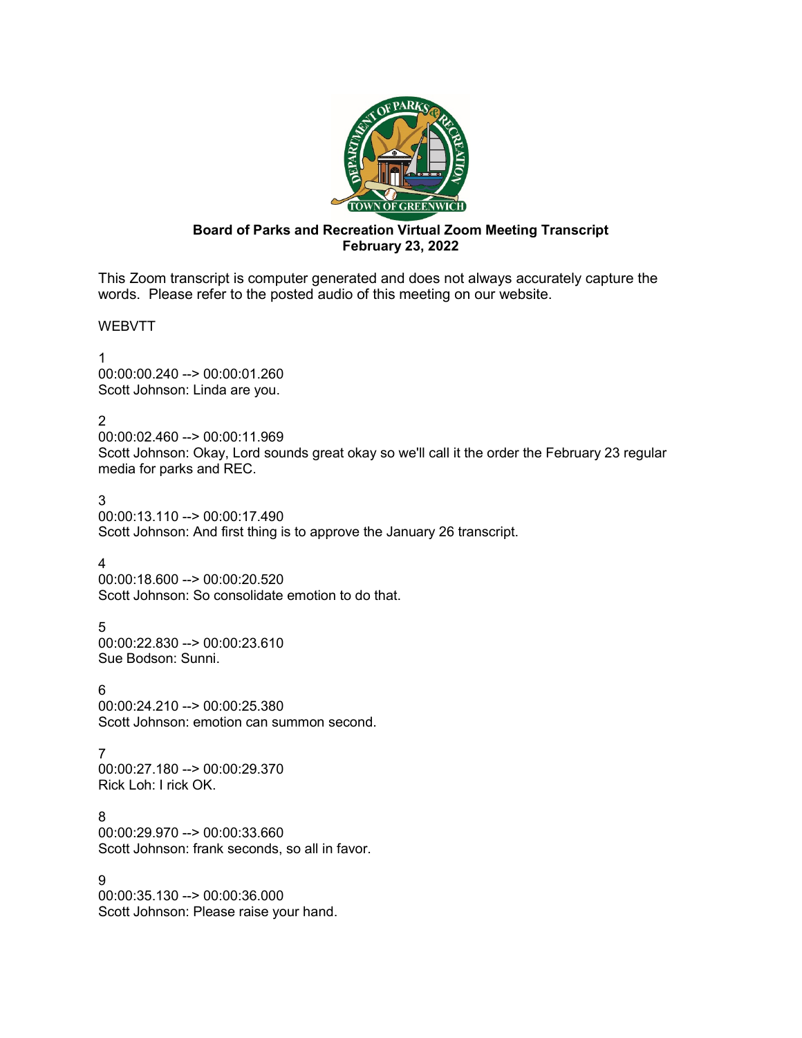

# **Board of Parks and Recreation Virtual Zoom Meeting Transcript February 23, 2022**

This Zoom transcript is computer generated and does not always accurately capture the words. Please refer to the posted audio of this meeting on our website.

WEBVTT

1 00:00:00.240 --> 00:00:01.260 Scott Johnson: Linda are you.

2

00:00:02.460 --> 00:00:11.969 Scott Johnson: Okay, Lord sounds great okay so we'll call it the order the February 23 regular media for parks and REC.

3 00:00:13.110 --> 00:00:17.490 Scott Johnson: And first thing is to approve the January 26 transcript.

# 4

00:00:18.600 --> 00:00:20.520 Scott Johnson: So consolidate emotion to do that.

5 00:00:22.830 --> 00:00:23.610 Sue Bodson: Sunni.

6 00:00:24.210 --> 00:00:25.380 Scott Johnson: emotion can summon second.

7 00:00:27.180 --> 00:00:29.370 Rick Loh: I rick OK.

8 00:00:29.970 --> 00:00:33.660 Scott Johnson: frank seconds, so all in favor.

9

00:00:35.130 --> 00:00:36.000 Scott Johnson: Please raise your hand.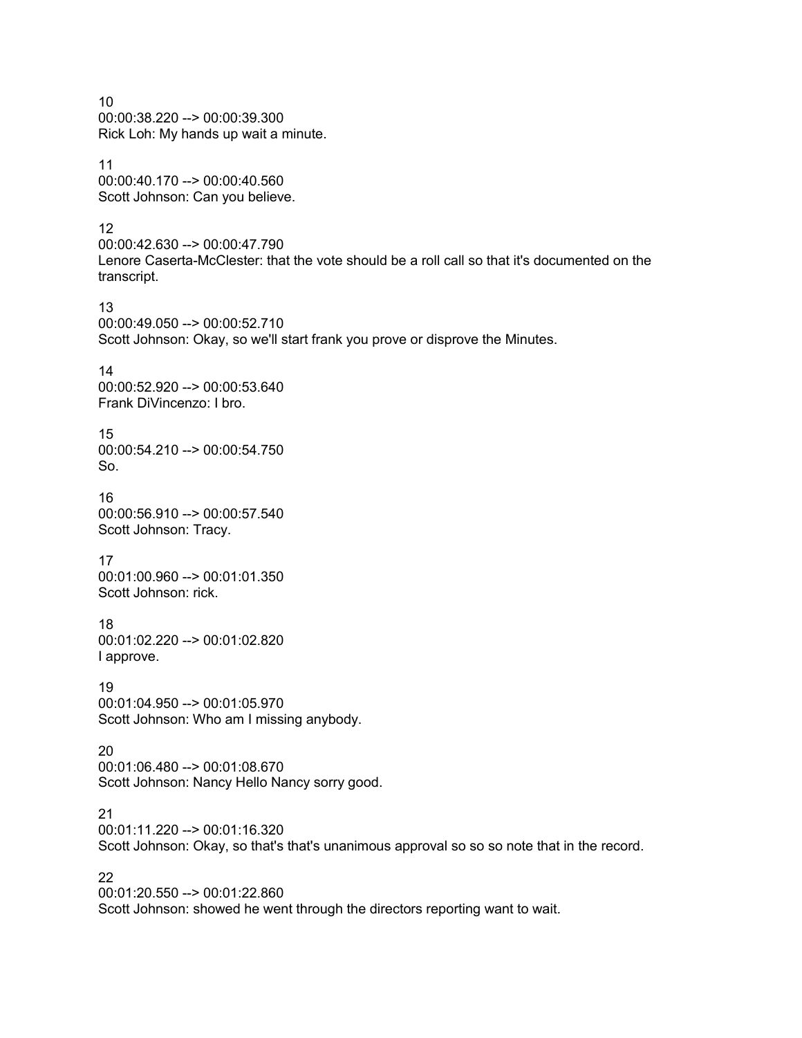10 00:00:38.220 --> 00:00:39.300 Rick Loh: My hands up wait a minute.

11 00:00:40.170 --> 00:00:40.560 Scott Johnson: Can you believe.

12

00:00:42.630 --> 00:00:47.790 Lenore Caserta-McClester: that the vote should be a roll call so that it's documented on the transcript.

13 00:00:49.050 --> 00:00:52.710 Scott Johnson: Okay, so we'll start frank you prove or disprove the Minutes.

14 00:00:52.920 --> 00:00:53.640 Frank DiVincenzo: I bro.

15 00:00:54.210 --> 00:00:54.750 So.

16 00:00:56.910 --> 00:00:57.540 Scott Johnson: Tracy.

17 00:01:00.960 --> 00:01:01.350 Scott Johnson: rick.

18 00:01:02.220 --> 00:01:02.820 I approve.

19 00:01:04.950 --> 00:01:05.970 Scott Johnson: Who am I missing anybody.

20 00:01:06.480 --> 00:01:08.670 Scott Johnson: Nancy Hello Nancy sorry good.

21 00:01:11.220 --> 00:01:16.320 Scott Johnson: Okay, so that's that's unanimous approval so so so note that in the record.

22

00:01:20.550 --> 00:01:22.860 Scott Johnson: showed he went through the directors reporting want to wait.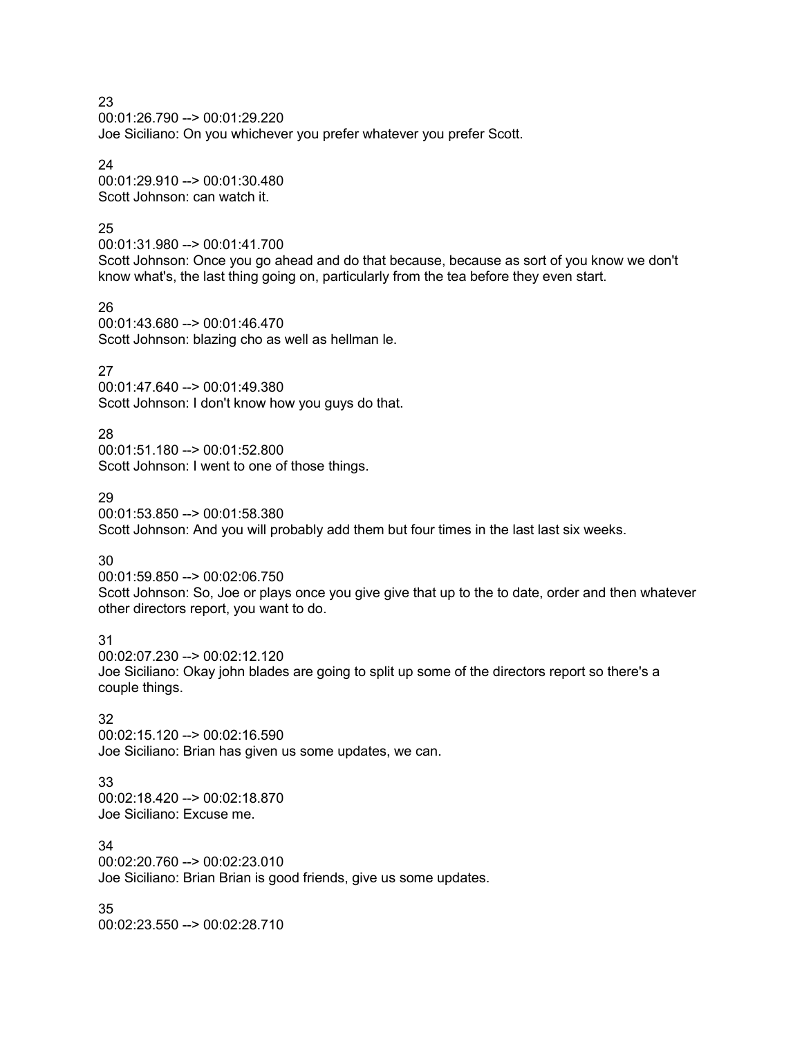00:01:26.790 --> 00:01:29.220 Joe Siciliano: On you whichever you prefer whatever you prefer Scott.

24

00:01:29.910 --> 00:01:30.480 Scott Johnson: can watch it.

### 25

00:01:31.980 --> 00:01:41.700

Scott Johnson: Once you go ahead and do that because, because as sort of you know we don't know what's, the last thing going on, particularly from the tea before they even start.

26

00:01:43.680 --> 00:01:46.470 Scott Johnson: blazing cho as well as hellman le.

### 27

00:01:47.640 --> 00:01:49.380 Scott Johnson: I don't know how you guys do that.

28

00:01:51.180 --> 00:01:52.800 Scott Johnson: I went to one of those things.

### 29

00:01:53.850 --> 00:01:58.380 Scott Johnson: And you will probably add them but four times in the last last six weeks.

30

00:01:59.850 --> 00:02:06.750 Scott Johnson: So, Joe or plays once you give give that up to the to date, order and then whatever other directors report, you want to do.

31

00:02:07.230 --> 00:02:12.120 Joe Siciliano: Okay john blades are going to split up some of the directors report so there's a couple things.

32

00:02:15.120 --> 00:02:16.590 Joe Siciliano: Brian has given us some updates, we can.

33

00:02:18.420 --> 00:02:18.870 Joe Siciliano: Excuse me.

34 00:02:20.760 --> 00:02:23.010 Joe Siciliano: Brian Brian is good friends, give us some updates.

35 00:02:23.550 --> 00:02:28.710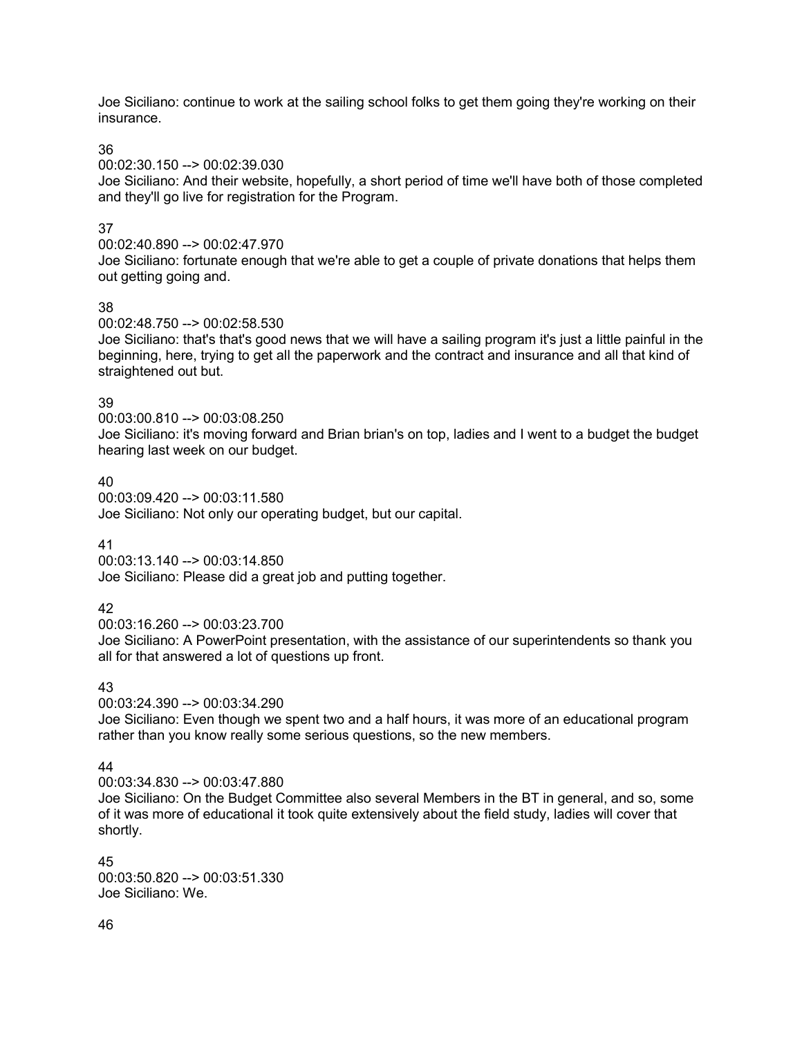Joe Siciliano: continue to work at the sailing school folks to get them going they're working on their insurance.

36

00:02:30.150 --> 00:02:39.030

Joe Siciliano: And their website, hopefully, a short period of time we'll have both of those completed and they'll go live for registration for the Program.

# 37

00:02:40.890 --> 00:02:47.970

Joe Siciliano: fortunate enough that we're able to get a couple of private donations that helps them out getting going and.

# 38

00:02:48.750 --> 00:02:58.530

Joe Siciliano: that's that's good news that we will have a sailing program it's just a little painful in the beginning, here, trying to get all the paperwork and the contract and insurance and all that kind of straightened out but.

### 39

00:03:00.810 --> 00:03:08.250

Joe Siciliano: it's moving forward and Brian brian's on top, ladies and I went to a budget the budget hearing last week on our budget.

# 40

00:03:09.420 --> 00:03:11.580 Joe Siciliano: Not only our operating budget, but our capital.

# 41

00:03:13.140 --> 00:03:14.850

Joe Siciliano: Please did a great job and putting together.

# 42

00:03:16.260 --> 00:03:23.700

Joe Siciliano: A PowerPoint presentation, with the assistance of our superintendents so thank you all for that answered a lot of questions up front.

# 43

00:03:24.390 --> 00:03:34.290

Joe Siciliano: Even though we spent two and a half hours, it was more of an educational program rather than you know really some serious questions, so the new members.

# 44

00:03:34.830 --> 00:03:47.880

Joe Siciliano: On the Budget Committee also several Members in the BT in general, and so, some of it was more of educational it took quite extensively about the field study, ladies will cover that shortly.

#### 45 00:03:50.820 --> 00:03:51.330 Joe Siciliano: We.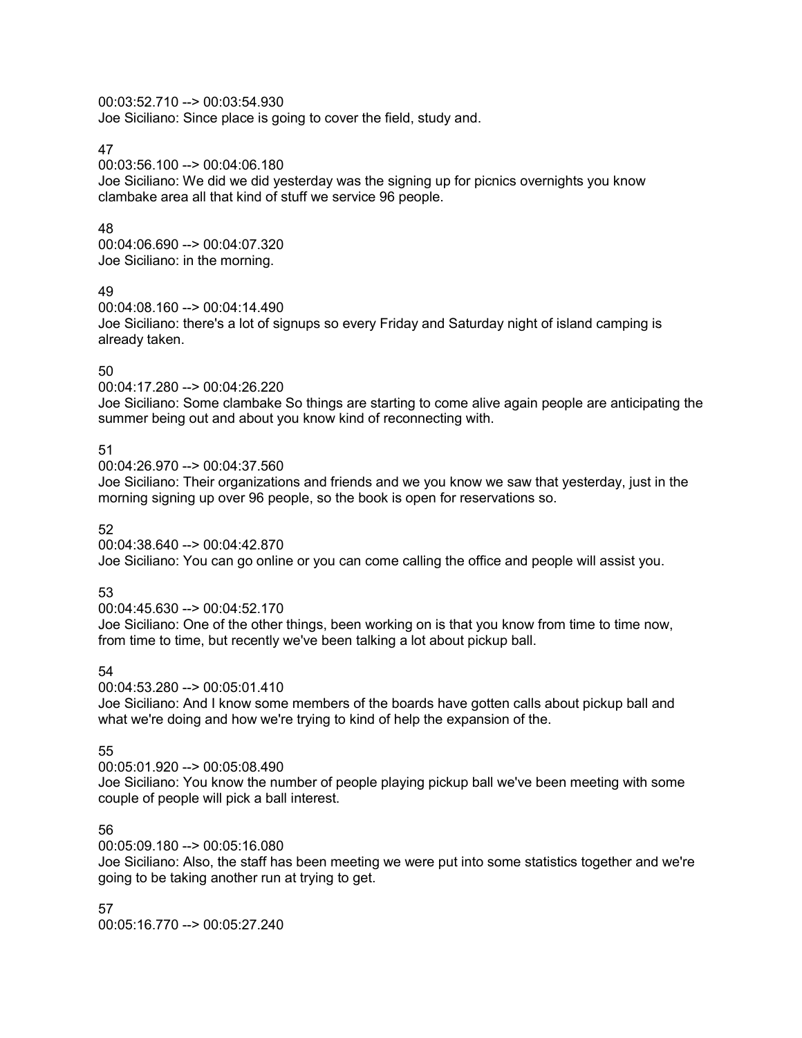### 00:03:52.710 --> 00:03:54.930

Joe Siciliano: Since place is going to cover the field, study and.

### 47

00:03:56.100 --> 00:04:06.180

Joe Siciliano: We did we did yesterday was the signing up for picnics overnights you know clambake area all that kind of stuff we service 96 people.

# 48

00:04:06.690 --> 00:04:07.320 Joe Siciliano: in the morning.

### 49

00:04:08.160 --> 00:04:14.490 Joe Siciliano: there's a lot of signups so every Friday and Saturday night of island camping is already taken.

# 50

00:04:17.280 --> 00:04:26.220

Joe Siciliano: Some clambake So things are starting to come alive again people are anticipating the summer being out and about you know kind of reconnecting with.

# 51

00:04:26.970 --> 00:04:37.560

Joe Siciliano: Their organizations and friends and we you know we saw that yesterday, just in the morning signing up over 96 people, so the book is open for reservations so.

# 52

00:04:38.640 --> 00:04:42.870 Joe Siciliano: You can go online or you can come calling the office and people will assist you.

# 53

00:04:45.630 --> 00:04:52.170 Joe Siciliano: One of the other things, been working on is that you know from time to time now, from time to time, but recently we've been talking a lot about pickup ball.

# 54

00:04:53.280 --> 00:05:01.410

Joe Siciliano: And I know some members of the boards have gotten calls about pickup ball and what we're doing and how we're trying to kind of help the expansion of the.

# 55

00:05:01.920 --> 00:05:08.490

Joe Siciliano: You know the number of people playing pickup ball we've been meeting with some couple of people will pick a ball interest.

# 56

00:05:09.180 --> 00:05:16.080

Joe Siciliano: Also, the staff has been meeting we were put into some statistics together and we're going to be taking another run at trying to get.

57 00:05:16.770 --> 00:05:27.240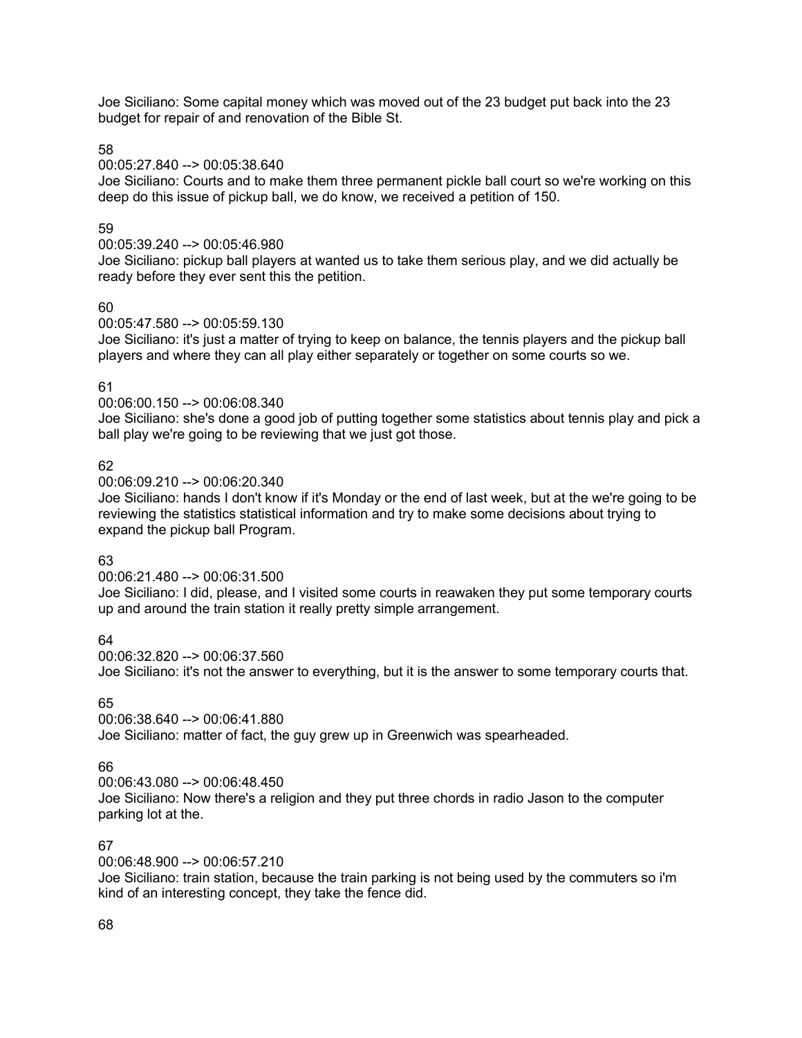Joe Siciliano: Some capital money which was moved out of the 23 budget put back into the 23 budget for repair of and renovation of the Bible St.

58

00:05:27.840 --> 00:05:38.640

Joe Siciliano: Courts and to make them three permanent pickle ball court so we're working on this deep do this issue of pickup ball, we do know, we received a petition of 150.

### 59

00:05:39.240 --> 00:05:46.980

Joe Siciliano: pickup ball players at wanted us to take them serious play, and we did actually be ready before they ever sent this the petition.

### 60

00:05:47.580 --> 00:05:59.130

Joe Siciliano: it's just a matter of trying to keep on balance, the tennis players and the pickup ball players and where they can all play either separately or together on some courts so we.

### 61

00:06:00.150 --> 00:06:08.340

Joe Siciliano: she's done a good job of putting together some statistics about tennis play and pick a ball play we're going to be reviewing that we just got those.

### 62

00:06:09.210 --> 00:06:20.340

Joe Siciliano: hands I don't know if it's Monday or the end of last week, but at the we're going to be reviewing the statistics statistical information and try to make some decisions about trying to expand the pickup ball Program.

# 63

00:06:21.480 --> 00:06:31.500

Joe Siciliano: I did, please, and I visited some courts in reawaken they put some temporary courts up and around the train station it really pretty simple arrangement.

64

00:06:32.820 --> 00:06:37.560 Joe Siciliano: it's not the answer to everything, but it is the answer to some temporary courts that.

# 65

00:06:38.640 --> 00:06:41.880 Joe Siciliano: matter of fact, the guy grew up in Greenwich was spearheaded.

# 66

00:06:43.080 --> 00:06:48.450

Joe Siciliano: Now there's a religion and they put three chords in radio Jason to the computer parking lot at the.

# 67

00:06:48.900 --> 00:06:57.210

Joe Siciliano: train station, because the train parking is not being used by the commuters so i'm kind of an interesting concept, they take the fence did.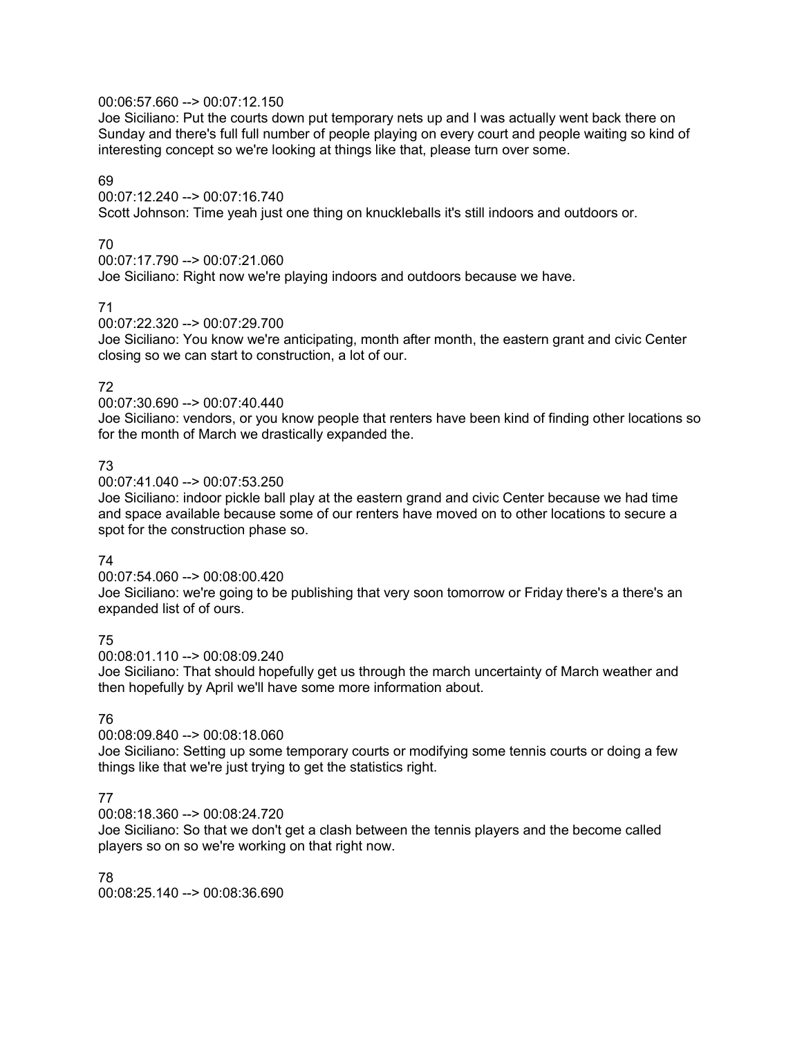# 00:06:57.660 --> 00:07:12.150

Joe Siciliano: Put the courts down put temporary nets up and I was actually went back there on Sunday and there's full full number of people playing on every court and people waiting so kind of interesting concept so we're looking at things like that, please turn over some.

# 69

00:07:12.240 --> 00:07:16.740

Scott Johnson: Time yeah just one thing on knuckleballs it's still indoors and outdoors or.

# 70

00:07:17.790 --> 00:07:21.060

Joe Siciliano: Right now we're playing indoors and outdoors because we have.

### 71

00:07:22.320 --> 00:07:29.700

Joe Siciliano: You know we're anticipating, month after month, the eastern grant and civic Center closing so we can start to construction, a lot of our.

# 72

00:07:30.690 --> 00:07:40.440

Joe Siciliano: vendors, or you know people that renters have been kind of finding other locations so for the month of March we drastically expanded the.

# 73

00:07:41.040 --> 00:07:53.250

Joe Siciliano: indoor pickle ball play at the eastern grand and civic Center because we had time and space available because some of our renters have moved on to other locations to secure a spot for the construction phase so.

# 74

00:07:54.060 --> 00:08:00.420

Joe Siciliano: we're going to be publishing that very soon tomorrow or Friday there's a there's an expanded list of of ours.

75

00:08:01.110 --> 00:08:09.240

Joe Siciliano: That should hopefully get us through the march uncertainty of March weather and then hopefully by April we'll have some more information about.

# 76

# 00:08:09.840 --> 00:08:18.060

Joe Siciliano: Setting up some temporary courts or modifying some tennis courts or doing a few things like that we're just trying to get the statistics right.

# 77

00:08:18.360 --> 00:08:24.720

Joe Siciliano: So that we don't get a clash between the tennis players and the become called players so on so we're working on that right now.

78 00:08:25.140 --> 00:08:36.690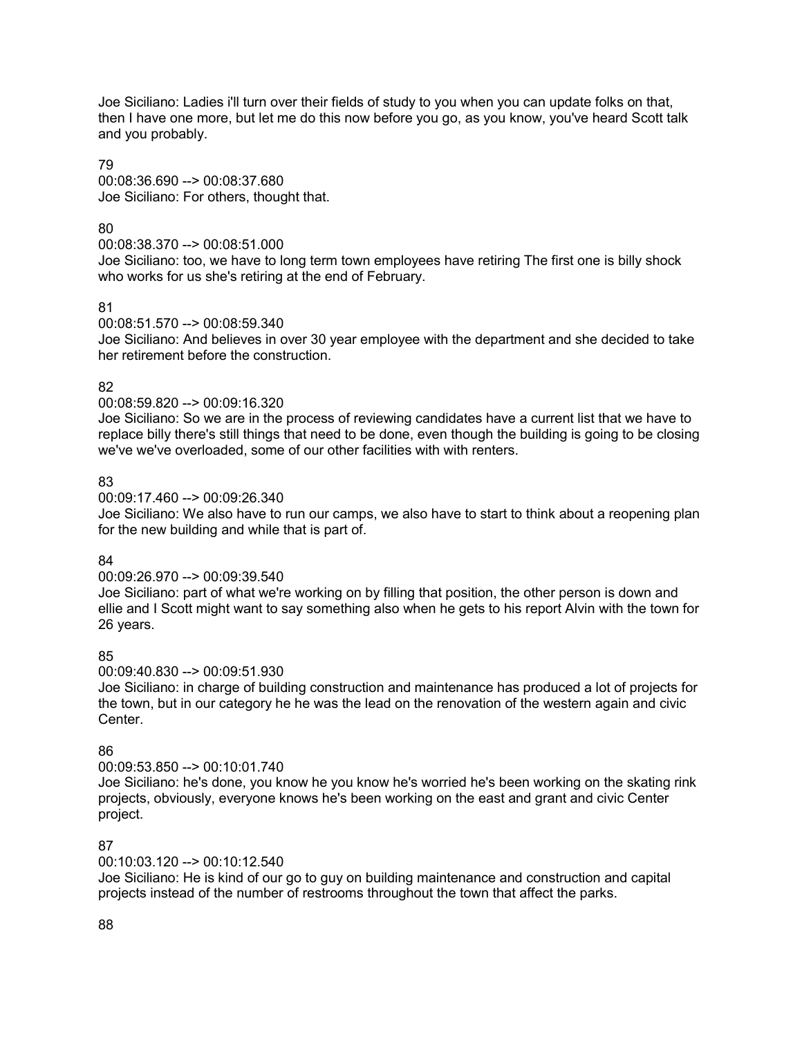Joe Siciliano: Ladies i'll turn over their fields of study to you when you can update folks on that, then I have one more, but let me do this now before you go, as you know, you've heard Scott talk and you probably.

### 79

00:08:36.690 --> 00:08:37.680 Joe Siciliano: For others, thought that.

# 80

00:08:38.370 --> 00:08:51.000

Joe Siciliano: too, we have to long term town employees have retiring The first one is billy shock who works for us she's retiring at the end of February.

# 81

00:08:51.570 --> 00:08:59.340

Joe Siciliano: And believes in over 30 year employee with the department and she decided to take her retirement before the construction.

# 82

00:08:59.820 --> 00:09:16.320

Joe Siciliano: So we are in the process of reviewing candidates have a current list that we have to replace billy there's still things that need to be done, even though the building is going to be closing we've we've overloaded, some of our other facilities with with renters.

# 83

# 00:09:17.460 --> 00:09:26.340

Joe Siciliano: We also have to run our camps, we also have to start to think about a reopening plan for the new building and while that is part of.

# 84

#### 00:09:26.970 --> 00:09:39.540

Joe Siciliano: part of what we're working on by filling that position, the other person is down and ellie and I Scott might want to say something also when he gets to his report Alvin with the town for 26 years.

# 85

# 00:09:40.830 --> 00:09:51.930

Joe Siciliano: in charge of building construction and maintenance has produced a lot of projects for the town, but in our category he he was the lead on the renovation of the western again and civic Center.

# 86

# 00:09:53.850 --> 00:10:01.740

Joe Siciliano: he's done, you know he you know he's worried he's been working on the skating rink projects, obviously, everyone knows he's been working on the east and grant and civic Center project.

# 87

# 00:10:03.120 --> 00:10:12.540

Joe Siciliano: He is kind of our go to guy on building maintenance and construction and capital projects instead of the number of restrooms throughout the town that affect the parks.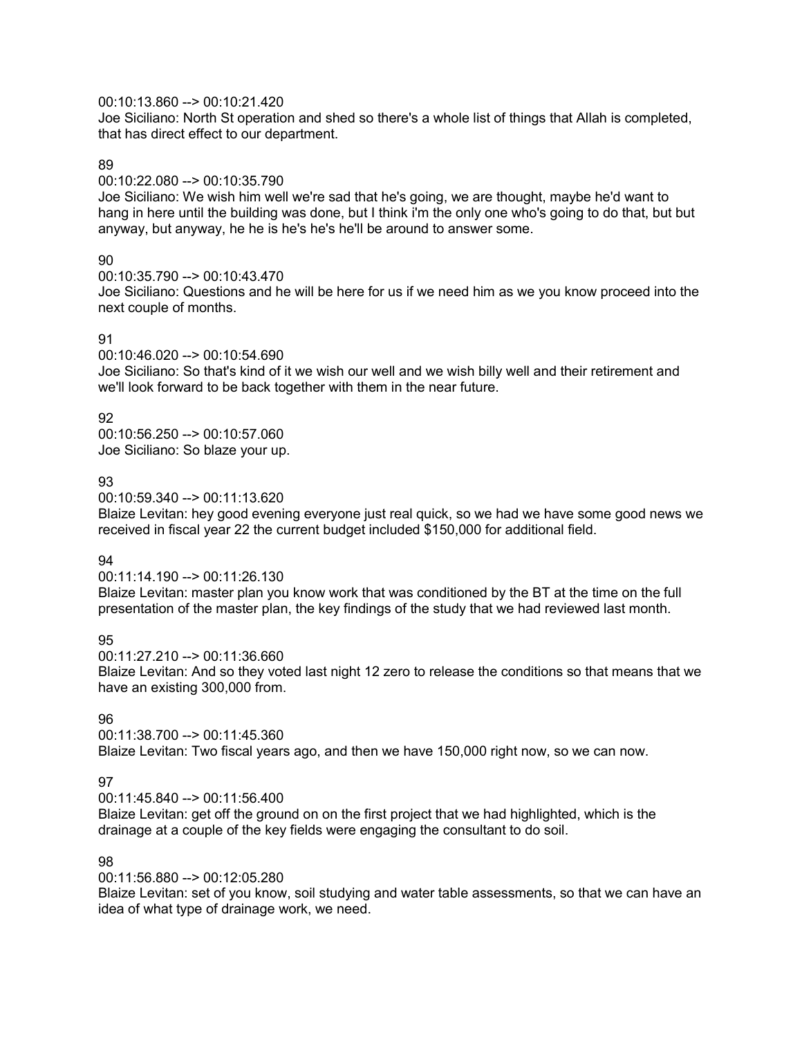### 00:10:13.860 --> 00:10:21.420

Joe Siciliano: North St operation and shed so there's a whole list of things that Allah is completed, that has direct effect to our department.

### 89

00:10:22.080 --> 00:10:35.790

Joe Siciliano: We wish him well we're sad that he's going, we are thought, maybe he'd want to hang in here until the building was done, but I think i'm the only one who's going to do that, but but anyway, but anyway, he he is he's he's he'll be around to answer some.

# 90

00:10:35.790 --> 00:10:43.470

Joe Siciliano: Questions and he will be here for us if we need him as we you know proceed into the next couple of months.

# 91

00:10:46.020 --> 00:10:54.690

Joe Siciliano: So that's kind of it we wish our well and we wish billy well and their retirement and we'll look forward to be back together with them in the near future.

# 92

00:10:56.250 --> 00:10:57.060 Joe Siciliano: So blaze your up.

# 93

00:10:59.340 --> 00:11:13.620

Blaize Levitan: hey good evening everyone just real quick, so we had we have some good news we received in fiscal year 22 the current budget included \$150,000 for additional field.

# 94

00:11:14.190 --> 00:11:26.130

Blaize Levitan: master plan you know work that was conditioned by the BT at the time on the full presentation of the master plan, the key findings of the study that we had reviewed last month.

95

00:11:27.210 --> 00:11:36.660 Blaize Levitan: And so they voted last night 12 zero to release the conditions so that means that we have an existing 300,000 from.

# 96

00:11:38.700 --> 00:11:45.360 Blaize Levitan: Two fiscal years ago, and then we have 150,000 right now, so we can now.

# 97

00:11:45.840 --> 00:11:56.400

Blaize Levitan: get off the ground on on the first project that we had highlighted, which is the drainage at a couple of the key fields were engaging the consultant to do soil.

# 98

00:11:56.880 --> 00:12:05.280

Blaize Levitan: set of you know, soil studying and water table assessments, so that we can have an idea of what type of drainage work, we need.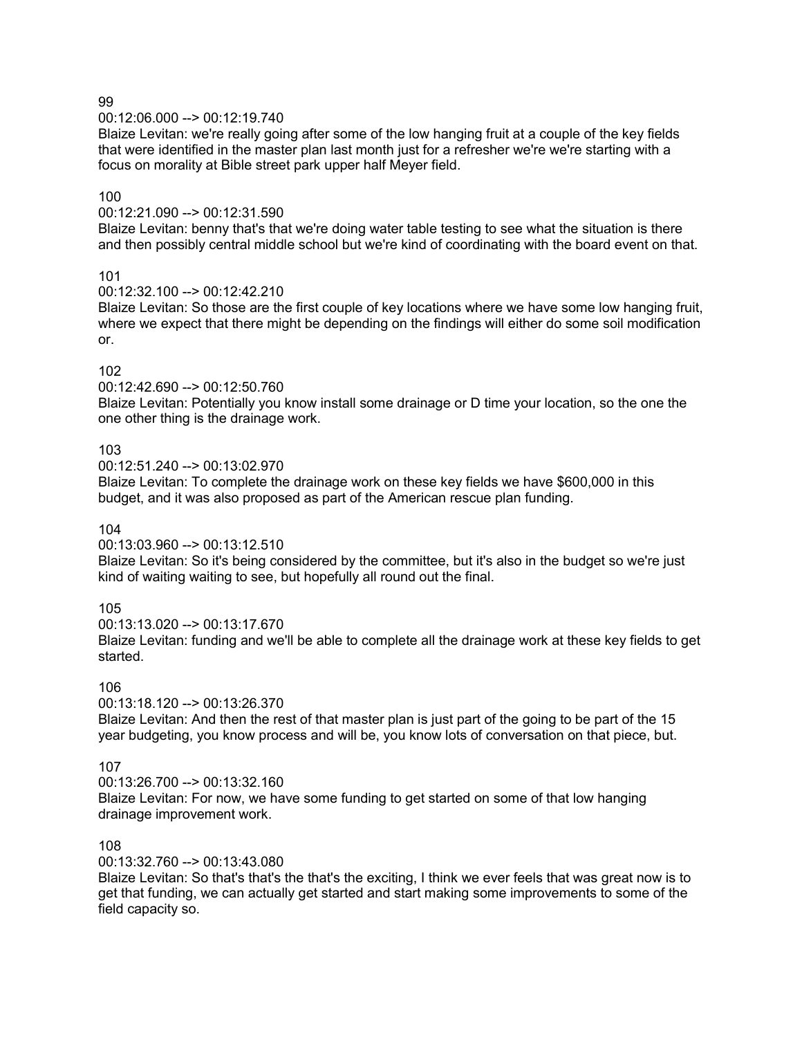00:12:06.000 --> 00:12:19.740

Blaize Levitan: we're really going after some of the low hanging fruit at a couple of the key fields that were identified in the master plan last month just for a refresher we're we're starting with a focus on morality at Bible street park upper half Meyer field.

# 100

00:12:21.090 --> 00:12:31.590

Blaize Levitan: benny that's that we're doing water table testing to see what the situation is there and then possibly central middle school but we're kind of coordinating with the board event on that.

# 101

00:12:32.100 --> 00:12:42.210

Blaize Levitan: So those are the first couple of key locations where we have some low hanging fruit, where we expect that there might be depending on the findings will either do some soil modification or.

# 102

00:12:42.690 --> 00:12:50.760

Blaize Levitan: Potentially you know install some drainage or D time your location, so the one the one other thing is the drainage work.

# 103

00:12:51.240 --> 00:13:02.970

Blaize Levitan: To complete the drainage work on these key fields we have \$600,000 in this budget, and it was also proposed as part of the American rescue plan funding.

# 104

00:13:03.960 --> 00:13:12.510

Blaize Levitan: So it's being considered by the committee, but it's also in the budget so we're just kind of waiting waiting to see, but hopefully all round out the final.

# 105

00:13:13.020 --> 00:13:17.670 Blaize Levitan: funding and we'll be able to complete all the drainage work at these key fields to get started.

# 106

 $00:13:18.120 \rightarrow 00:13:26.370$ 

Blaize Levitan: And then the rest of that master plan is just part of the going to be part of the 15 year budgeting, you know process and will be, you know lots of conversation on that piece, but.

# 107

00:13:26.700 --> 00:13:32.160 Blaize Levitan: For now, we have some funding to get started on some of that low hanging drainage improvement work.

# 108

00:13:32.760 --> 00:13:43.080

Blaize Levitan: So that's that's the that's the exciting, I think we ever feels that was great now is to get that funding, we can actually get started and start making some improvements to some of the field capacity so.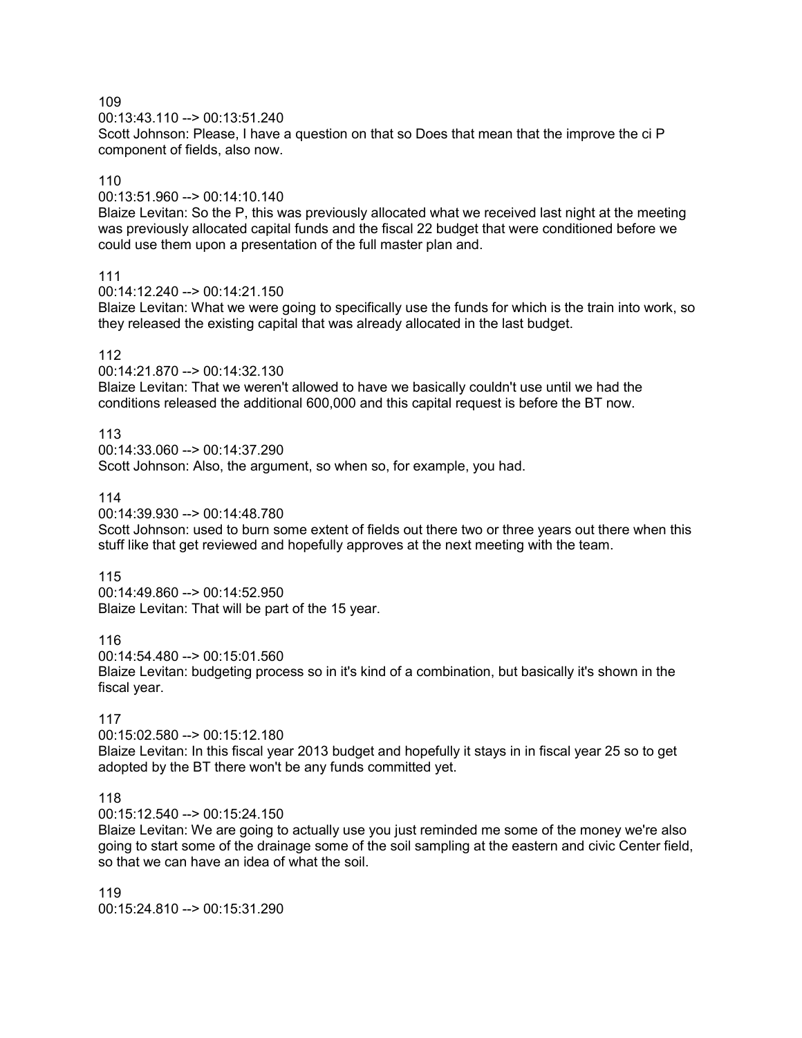00:13:43.110 --> 00:13:51.240

Scott Johnson: Please, I have a question on that so Does that mean that the improve the ci P component of fields, also now.

# 110

00:13:51.960 --> 00:14:10.140

Blaize Levitan: So the P, this was previously allocated what we received last night at the meeting was previously allocated capital funds and the fiscal 22 budget that were conditioned before we could use them upon a presentation of the full master plan and.

# 111

00:14:12.240 --> 00:14:21.150

Blaize Levitan: What we were going to specifically use the funds for which is the train into work, so they released the existing capital that was already allocated in the last budget.

# 112

 $00:14:21.870 \rightarrow 00:14:32.130$ 

Blaize Levitan: That we weren't allowed to have we basically couldn't use until we had the conditions released the additional 600,000 and this capital request is before the BT now.

# 113

00:14:33.060 --> 00:14:37.290 Scott Johnson: Also, the argument, so when so, for example, you had.

# 114

00:14:39.930 --> 00:14:48.780

Scott Johnson: used to burn some extent of fields out there two or three years out there when this stuff like that get reviewed and hopefully approves at the next meeting with the team.

# 115

00:14:49.860 --> 00:14:52.950 Blaize Levitan: That will be part of the 15 year.

116

00:14:54.480 --> 00:15:01.560

Blaize Levitan: budgeting process so in it's kind of a combination, but basically it's shown in the fiscal year.

# 117

00:15:02.580 --> 00:15:12.180

Blaize Levitan: In this fiscal year 2013 budget and hopefully it stays in in fiscal year 25 so to get adopted by the BT there won't be any funds committed yet.

# 118

00:15:12.540 --> 00:15:24.150

Blaize Levitan: We are going to actually use you just reminded me some of the money we're also going to start some of the drainage some of the soil sampling at the eastern and civic Center field, so that we can have an idea of what the soil.

119 00:15:24.810 --> 00:15:31.290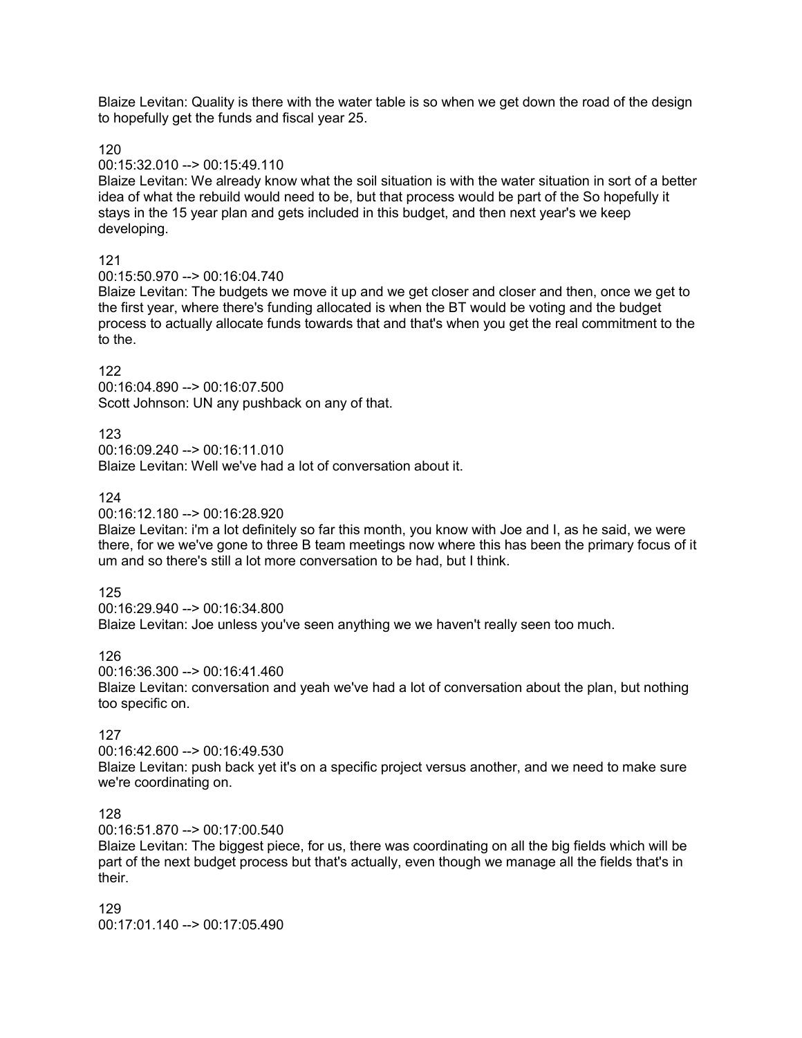Blaize Levitan: Quality is there with the water table is so when we get down the road of the design to hopefully get the funds and fiscal year 25.

120

### 00:15:32.010 --> 00:15:49.110

Blaize Levitan: We already know what the soil situation is with the water situation in sort of a better idea of what the rebuild would need to be, but that process would be part of the So hopefully it stays in the 15 year plan and gets included in this budget, and then next year's we keep developing.

### 121

00:15:50.970 --> 00:16:04.740

Blaize Levitan: The budgets we move it up and we get closer and closer and then, once we get to the first year, where there's funding allocated is when the BT would be voting and the budget process to actually allocate funds towards that and that's when you get the real commitment to the to the.

# 122

00:16:04.890 --> 00:16:07.500 Scott Johnson: UN any pushback on any of that.

### 123

00:16:09.240 --> 00:16:11.010 Blaize Levitan: Well we've had a lot of conversation about it.

# 124

00:16:12.180 --> 00:16:28.920

Blaize Levitan: i'm a lot definitely so far this month, you know with Joe and I, as he said, we were there, for we we've gone to three B team meetings now where this has been the primary focus of it um and so there's still a lot more conversation to be had, but I think.

#### 125

00:16:29.940 --> 00:16:34.800

Blaize Levitan: Joe unless you've seen anything we we haven't really seen too much.

#### 126

00:16:36.300 --> 00:16:41.460

Blaize Levitan: conversation and yeah we've had a lot of conversation about the plan, but nothing too specific on.

# 127

00:16:42.600 --> 00:16:49.530 Blaize Levitan: push back yet it's on a specific project versus another, and we need to make sure we're coordinating on.

# 128

00:16:51.870 --> 00:17:00.540

Blaize Levitan: The biggest piece, for us, there was coordinating on all the big fields which will be part of the next budget process but that's actually, even though we manage all the fields that's in their.

129 00:17:01.140 --> 00:17:05.490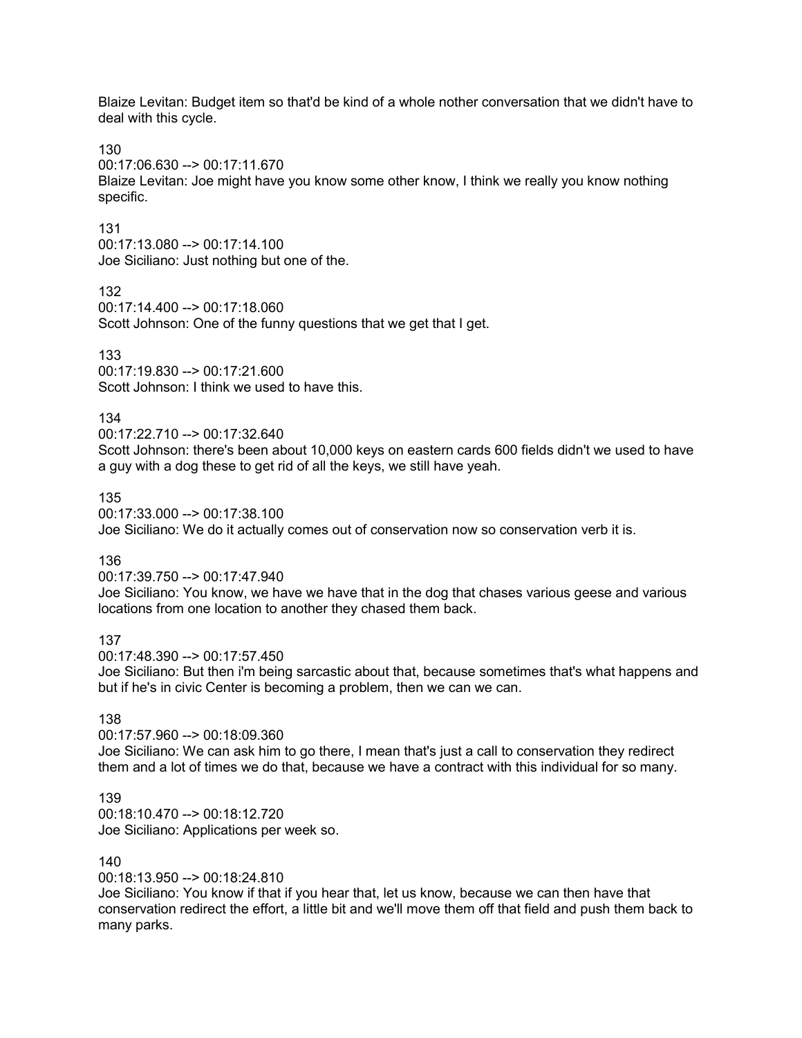Blaize Levitan: Budget item so that'd be kind of a whole nother conversation that we didn't have to deal with this cycle.

130

00:17:06.630 --> 00:17:11.670

Blaize Levitan: Joe might have you know some other know, I think we really you know nothing specific.

131

00:17:13.080 --> 00:17:14.100 Joe Siciliano: Just nothing but one of the.

132

00:17:14.400 --> 00:17:18.060

Scott Johnson: One of the funny questions that we get that I get.

133

 $00.17.19.830 - > 00.17.21.600$ Scott Johnson: I think we used to have this.

134

00:17:22.710 --> 00:17:32.640

Scott Johnson: there's been about 10,000 keys on eastern cards 600 fields didn't we used to have a guy with a dog these to get rid of all the keys, we still have yeah.

135

00:17:33.000 --> 00:17:38.100

Joe Siciliano: We do it actually comes out of conservation now so conservation verb it is.

136

00:17:39.750 --> 00:17:47.940

Joe Siciliano: You know, we have we have that in the dog that chases various geese and various locations from one location to another they chased them back.

137

00:17:48.390 --> 00:17:57.450

Joe Siciliano: But then i'm being sarcastic about that, because sometimes that's what happens and but if he's in civic Center is becoming a problem, then we can we can.

138

00:17:57.960 --> 00:18:09.360

Joe Siciliano: We can ask him to go there, I mean that's just a call to conservation they redirect them and a lot of times we do that, because we have a contract with this individual for so many.

139

00:18:10.470 --> 00:18:12.720 Joe Siciliano: Applications per week so.

140

00:18:13.950 --> 00:18:24.810

Joe Siciliano: You know if that if you hear that, let us know, because we can then have that conservation redirect the effort, a little bit and we'll move them off that field and push them back to many parks.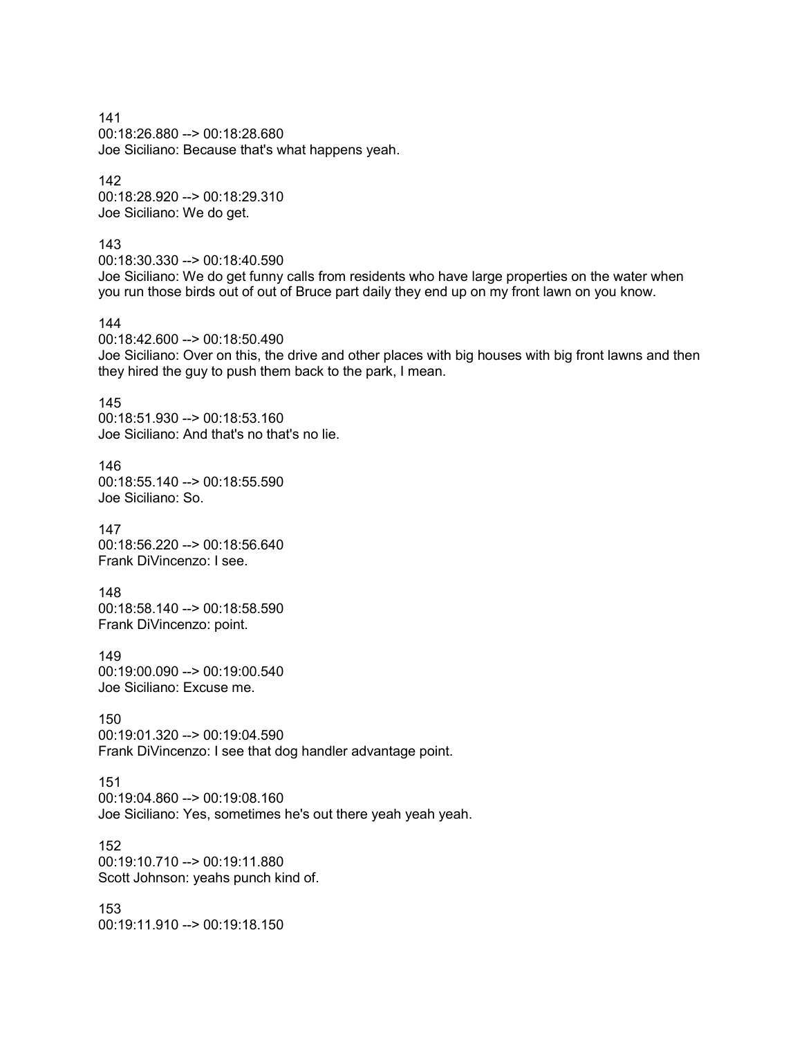141 00:18:26.880 --> 00:18:28.680 Joe Siciliano: Because that's what happens yeah.

142 00:18:28.920 --> 00:18:29.310 Joe Siciliano: We do get.

143

00:18:30.330 --> 00:18:40.590 Joe Siciliano: We do get funny calls from residents who have large properties on the water when you run those birds out of out of Bruce part daily they end up on my front lawn on you know.

144

00:18:42.600 --> 00:18:50.490 Joe Siciliano: Over on this, the drive and other places with big houses with big front lawns and then they hired the guy to push them back to the park, I mean.

145

00:18:51.930 --> 00:18:53.160 Joe Siciliano: And that's no that's no lie.

146 00:18:55.140 --> 00:18:55.590 Joe Siciliano: So.

147 00:18:56.220 --> 00:18:56.640 Frank DiVincenzo: I see.

148 00:18:58.140 --> 00:18:58.590 Frank DiVincenzo: point.

149 00:19:00.090 --> 00:19:00.540 Joe Siciliano: Excuse me.

150 00:19:01.320 --> 00:19:04.590 Frank DiVincenzo: I see that dog handler advantage point.

151 00:19:04.860 --> 00:19:08.160 Joe Siciliano: Yes, sometimes he's out there yeah yeah yeah.

152 00:19:10.710 --> 00:19:11.880 Scott Johnson: yeahs punch kind of.

153 00:19:11.910 --> 00:19:18.150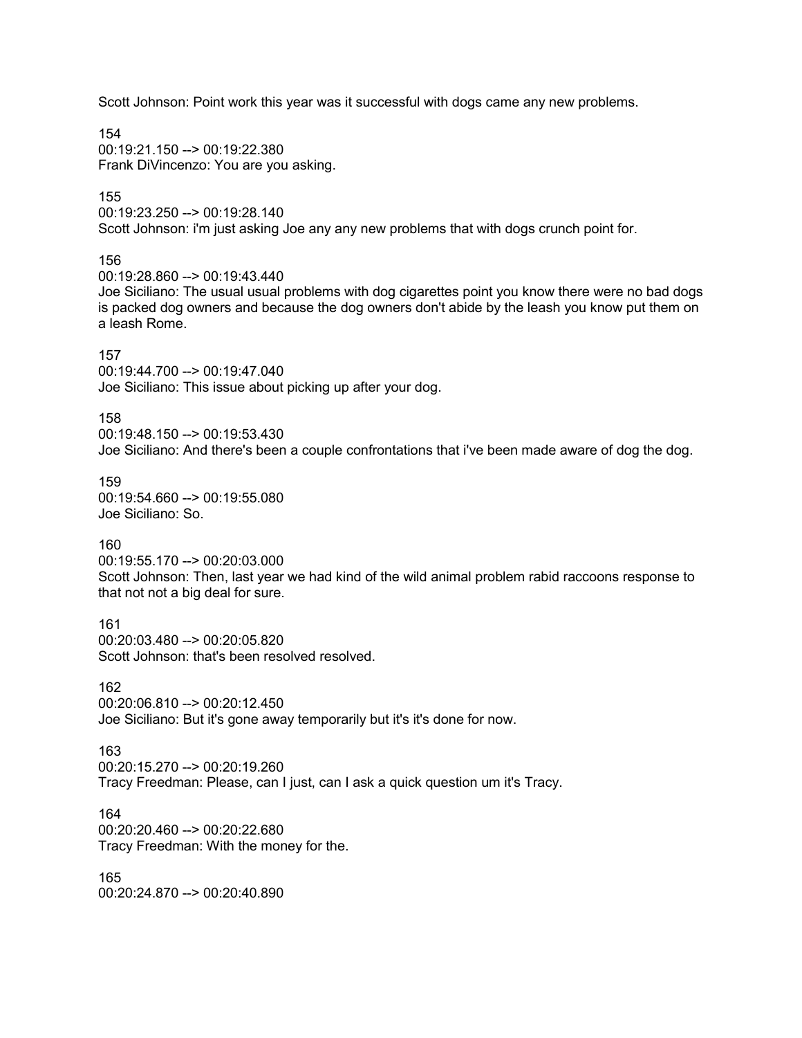Scott Johnson: Point work this year was it successful with dogs came any new problems.

154 00:19:21.150 --> 00:19:22.380 Frank DiVincenzo: You are you asking.

155

00:19:23.250 --> 00:19:28.140 Scott Johnson: i'm just asking Joe any any new problems that with dogs crunch point for.

156

00:19:28.860 --> 00:19:43.440

Joe Siciliano: The usual usual problems with dog cigarettes point you know there were no bad dogs is packed dog owners and because the dog owners don't abide by the leash you know put them on a leash Rome.

### 157

 $00.19.44$  700 --> 00.19.47 040 Joe Siciliano: This issue about picking up after your dog.

158

00:19:48.150 --> 00:19:53.430

Joe Siciliano: And there's been a couple confrontations that i've been made aware of dog the dog.

159 00:19:54.660 --> 00:19:55.080 Joe Siciliano: So.

160

00:19:55.170 --> 00:20:03.000 Scott Johnson: Then, last year we had kind of the wild animal problem rabid raccoons response to that not not a big deal for sure.

161 00:20:03.480 --> 00:20:05.820 Scott Johnson: that's been resolved resolved.

162 00:20:06.810 --> 00:20:12.450 Joe Siciliano: But it's gone away temporarily but it's it's done for now.

163 00:20:15.270 --> 00:20:19.260 Tracy Freedman: Please, can I just, can I ask a quick question um it's Tracy.

164 00:20:20.460 --> 00:20:22.680 Tracy Freedman: With the money for the.

165 00:20:24.870 --> 00:20:40.890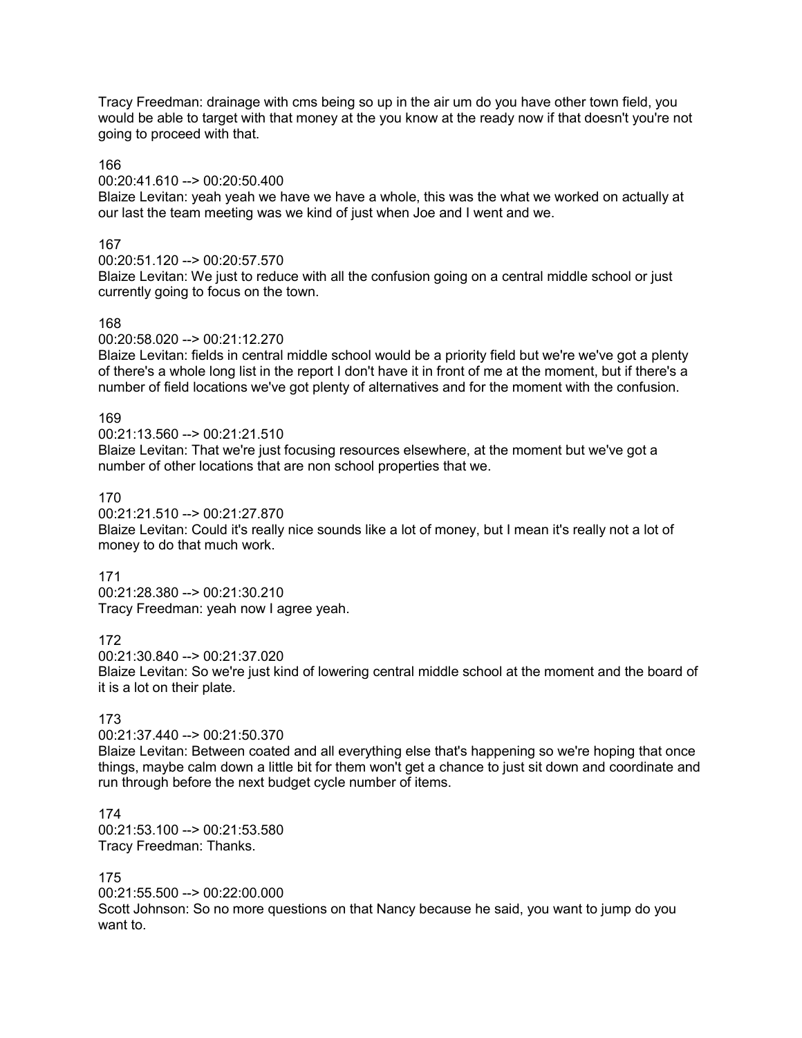Tracy Freedman: drainage with cms being so up in the air um do you have other town field, you would be able to target with that money at the you know at the ready now if that doesn't you're not going to proceed with that.

### 166

00:20:41.610 --> 00:20:50.400

Blaize Levitan: yeah yeah we have we have a whole, this was the what we worked on actually at our last the team meeting was we kind of just when Joe and I went and we.

# 167

00:20:51.120 --> 00:20:57.570

Blaize Levitan: We just to reduce with all the confusion going on a central middle school or just currently going to focus on the town.

# 168

00:20:58.020 --> 00:21:12.270

Blaize Levitan: fields in central middle school would be a priority field but we're we've got a plenty of there's a whole long list in the report I don't have it in front of me at the moment, but if there's a number of field locations we've got plenty of alternatives and for the moment with the confusion.

### 169

00:21:13.560 --> 00:21:21.510

Blaize Levitan: That we're just focusing resources elsewhere, at the moment but we've got a number of other locations that are non school properties that we.

# 170

00:21:21.510 --> 00:21:27.870

Blaize Levitan: Could it's really nice sounds like a lot of money, but I mean it's really not a lot of money to do that much work.

### 171

00:21:28.380 --> 00:21:30.210 Tracy Freedman: yeah now I agree yeah.

### 172

00:21:30.840 --> 00:21:37.020

Blaize Levitan: So we're just kind of lowering central middle school at the moment and the board of it is a lot on their plate.

# 173

00:21:37.440 --> 00:21:50.370

Blaize Levitan: Between coated and all everything else that's happening so we're hoping that once things, maybe calm down a little bit for them won't get a chance to just sit down and coordinate and run through before the next budget cycle number of items.

174 00:21:53.100 --> 00:21:53.580 Tracy Freedman: Thanks.

# 175

00:21:55.500 --> 00:22:00.000 Scott Johnson: So no more questions on that Nancy because he said, you want to jump do you want to.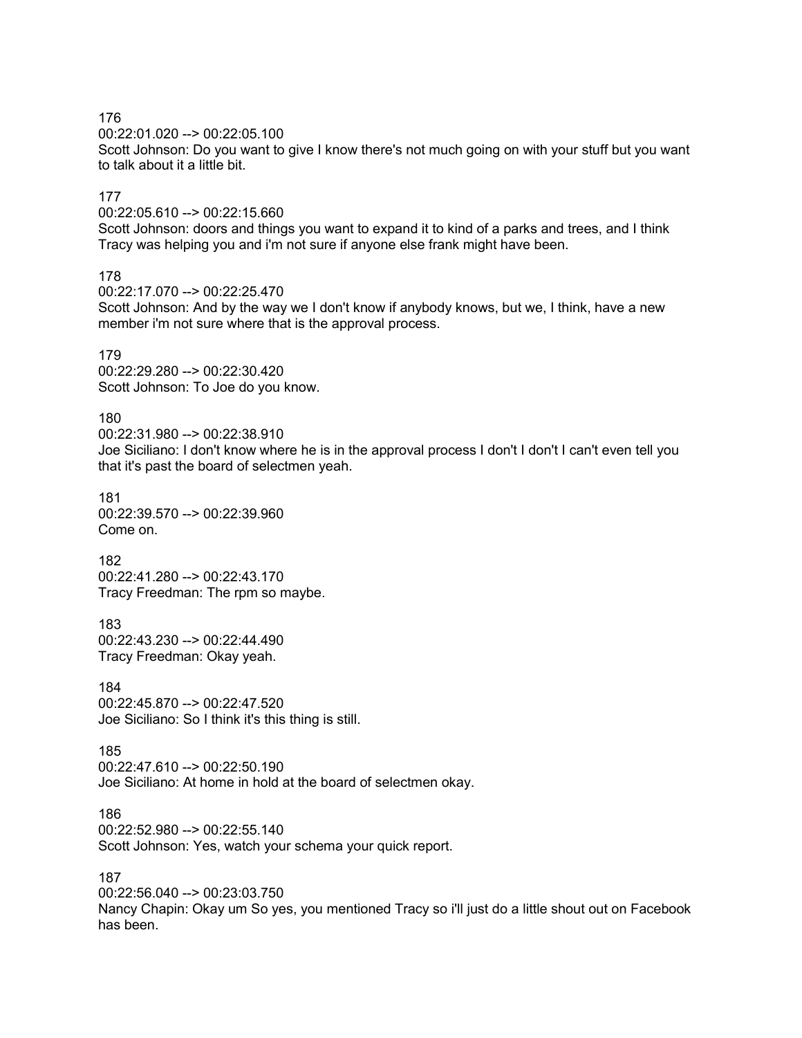00:22:01.020 --> 00:22:05.100

Scott Johnson: Do you want to give I know there's not much going on with your stuff but you want to talk about it a little bit.

### 177

00:22:05.610 --> 00:22:15.660

Scott Johnson: doors and things you want to expand it to kind of a parks and trees, and I think Tracy was helping you and i'm not sure if anyone else frank might have been.

# 178

00:22:17.070 --> 00:22:25.470

Scott Johnson: And by the way we I don't know if anybody knows, but we, I think, have a new member i'm not sure where that is the approval process.

#### 179

 $00:22:29.280 - \geq 00:22:30.420$ Scott Johnson: To Joe do you know.

#### 180

00:22:31.980 --> 00:22:38.910 Joe Siciliano: I don't know where he is in the approval process I don't I don't I can't even tell you that it's past the board of selectmen yeah.

### 181 00:22:39.570 --> 00:22:39.960 Come on.

182 00:22:41.280 --> 00:22:43.170 Tracy Freedman: The rpm so maybe.

183 00:22:43.230 --> 00:22:44.490 Tracy Freedman: Okay yeah.

184  $00:22:45.870 -> 00:22:47.520$ Joe Siciliano: So I think it's this thing is still.

### 185 00:22:47.610 --> 00:22:50.190 Joe Siciliano: At home in hold at the board of selectmen okay.

186 00:22:52.980 --> 00:22:55.140 Scott Johnson: Yes, watch your schema your quick report.

#### 187

00:22:56.040 --> 00:23:03.750

Nancy Chapin: Okay um So yes, you mentioned Tracy so i'll just do a little shout out on Facebook has been.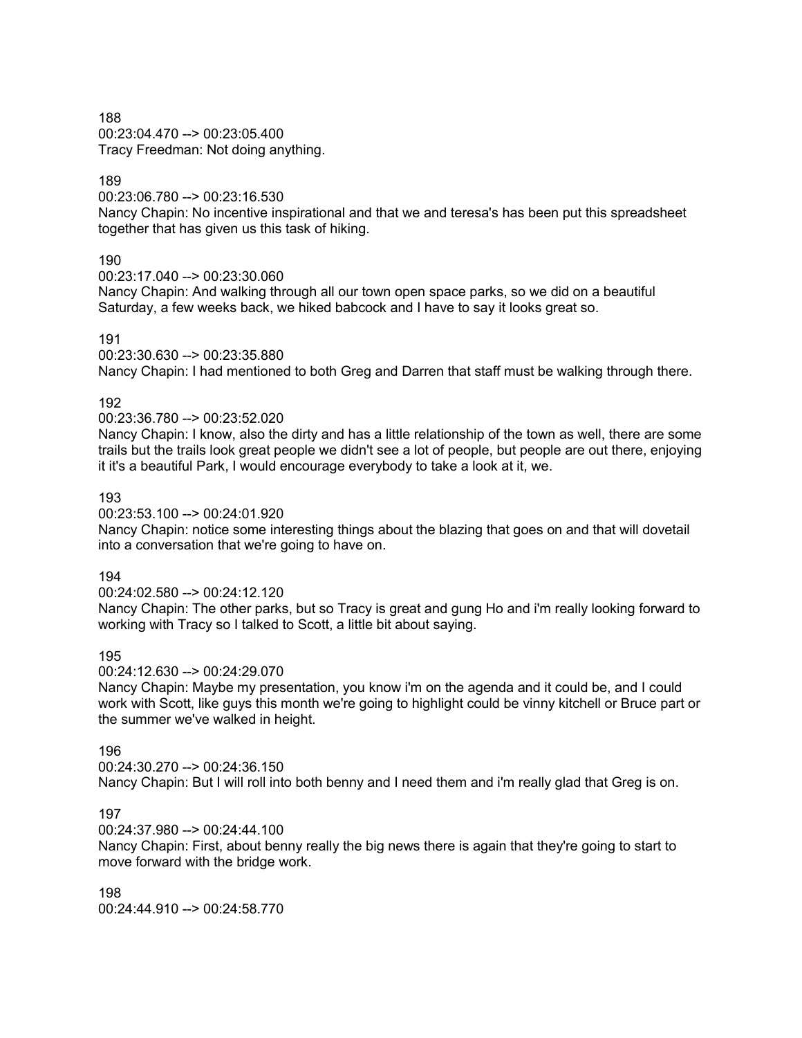00:23:04.470 --> 00:23:05.400 Tracy Freedman: Not doing anything.

# 189

00:23:06.780 --> 00:23:16.530

Nancy Chapin: No incentive inspirational and that we and teresa's has been put this spreadsheet together that has given us this task of hiking.

# 190

00:23:17.040 --> 00:23:30.060

Nancy Chapin: And walking through all our town open space parks, so we did on a beautiful Saturday, a few weeks back, we hiked babcock and I have to say it looks great so.

# 191

00:23:30.630 --> 00:23:35.880

Nancy Chapin: I had mentioned to both Greg and Darren that staff must be walking through there.

# 192

00:23:36.780 --> 00:23:52.020

Nancy Chapin: I know, also the dirty and has a little relationship of the town as well, there are some trails but the trails look great people we didn't see a lot of people, but people are out there, enjoying it it's a beautiful Park, I would encourage everybody to take a look at it, we.

# 193

00:23:53.100 --> 00:24:01.920

Nancy Chapin: notice some interesting things about the blazing that goes on and that will dovetail into a conversation that we're going to have on.

# 194

00:24:02.580 --> 00:24:12.120

Nancy Chapin: The other parks, but so Tracy is great and gung Ho and i'm really looking forward to working with Tracy so I talked to Scott, a little bit about saying.

# 195

00:24:12.630 --> 00:24:29.070

Nancy Chapin: Maybe my presentation, you know i'm on the agenda and it could be, and I could work with Scott, like guys this month we're going to highlight could be vinny kitchell or Bruce part or the summer we've walked in height.

# 196

00:24:30.270 --> 00:24:36.150

Nancy Chapin: But I will roll into both benny and I need them and i'm really glad that Greg is on.

# 197

00:24:37.980 --> 00:24:44.100

Nancy Chapin: First, about benny really the big news there is again that they're going to start to move forward with the bridge work.

198 00:24:44.910 --> 00:24:58.770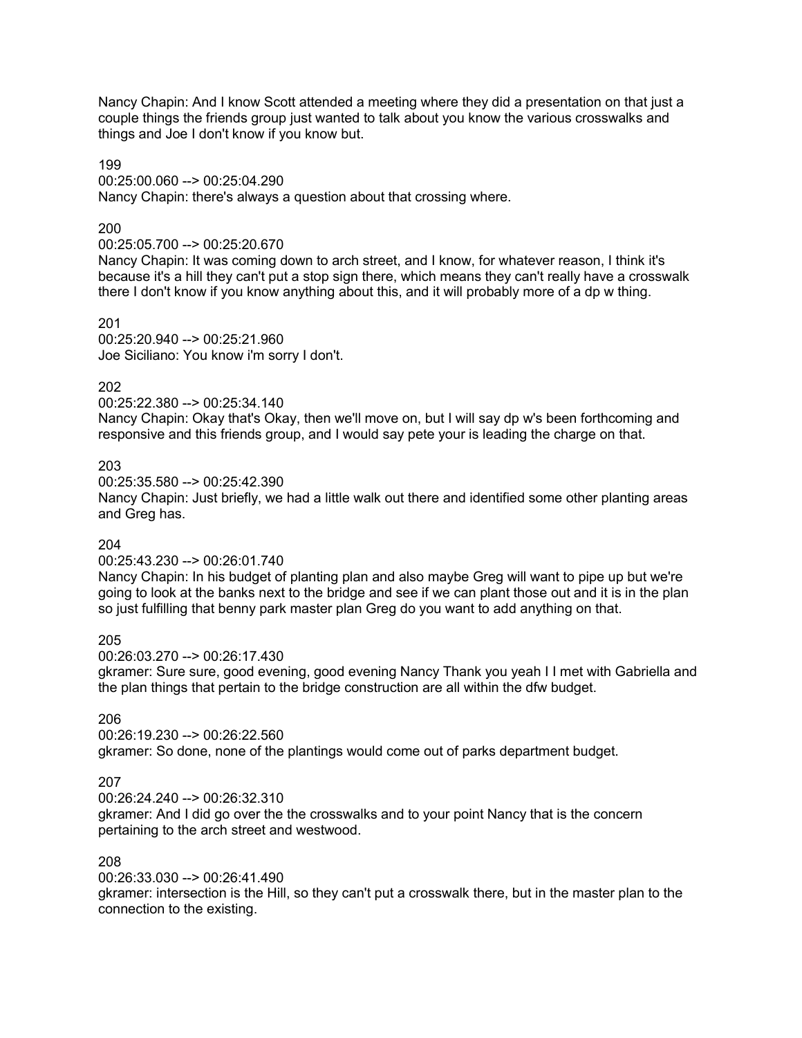Nancy Chapin: And I know Scott attended a meeting where they did a presentation on that just a couple things the friends group just wanted to talk about you know the various crosswalks and things and Joe I don't know if you know but.

199

00:25:00.060 --> 00:25:04.290

Nancy Chapin: there's always a question about that crossing where.

### 200

00:25:05.700 --> 00:25:20.670

Nancy Chapin: It was coming down to arch street, and I know, for whatever reason, I think it's because it's a hill they can't put a stop sign there, which means they can't really have a crosswalk there I don't know if you know anything about this, and it will probably more of a dp w thing.

201

00:25:20.940 --> 00:25:21.960 Joe Siciliano: You know i'm sorry I don't.

# 202

00:25:22.380 --> 00:25:34.140

Nancy Chapin: Okay that's Okay, then we'll move on, but I will say dp w's been forthcoming and responsive and this friends group, and I would say pete your is leading the charge on that.

203

00:25:35.580 --> 00:25:42.390

Nancy Chapin: Just briefly, we had a little walk out there and identified some other planting areas and Greg has.

# 204

00:25:43.230 --> 00:26:01.740

Nancy Chapin: In his budget of planting plan and also maybe Greg will want to pipe up but we're going to look at the banks next to the bridge and see if we can plant those out and it is in the plan so just fulfilling that benny park master plan Greg do you want to add anything on that.

205

00:26:03.270 --> 00:26:17.430

gkramer: Sure sure, good evening, good evening Nancy Thank you yeah I I met with Gabriella and the plan things that pertain to the bridge construction are all within the dfw budget.

# 206

00:26:19.230 --> 00:26:22.560 gkramer: So done, none of the plantings would come out of parks department budget.

# 207

00:26:24.240 --> 00:26:32.310

gkramer: And I did go over the the crosswalks and to your point Nancy that is the concern pertaining to the arch street and westwood.

# 208

00:26:33.030 --> 00:26:41.490

gkramer: intersection is the Hill, so they can't put a crosswalk there, but in the master plan to the connection to the existing.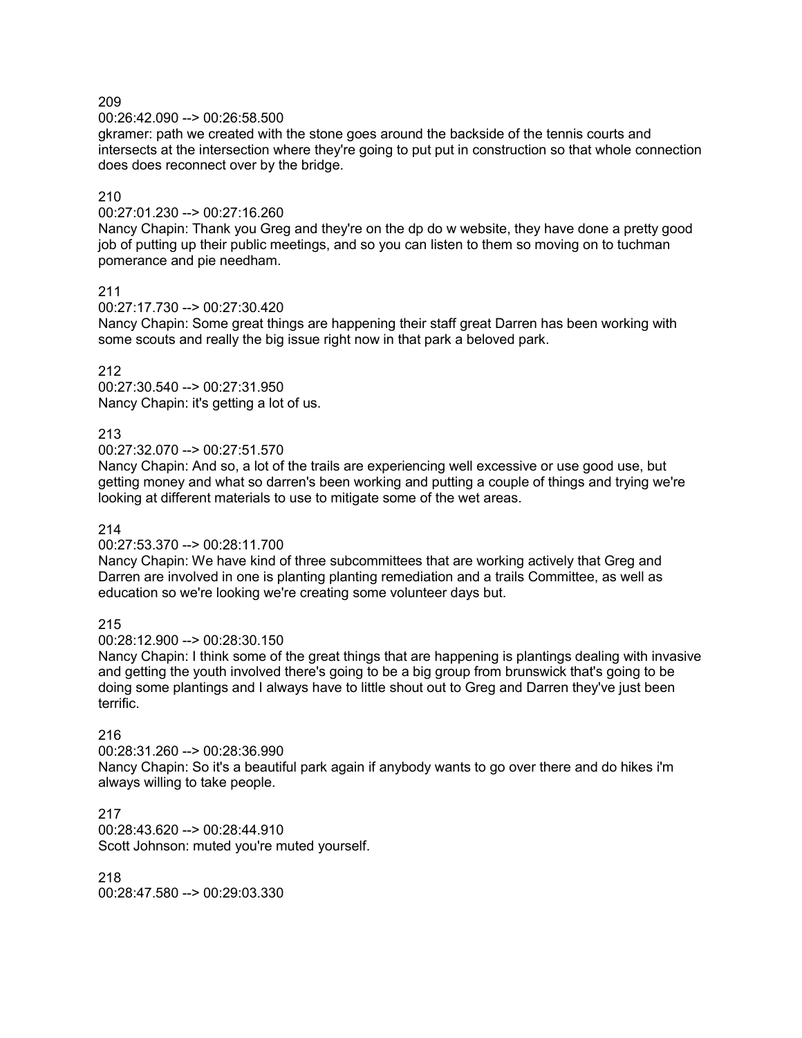00:26:42.090 --> 00:26:58.500

gkramer: path we created with the stone goes around the backside of the tennis courts and intersects at the intersection where they're going to put put in construction so that whole connection does does reconnect over by the bridge.

# 210

 $00:27:01.230 -> 00:27:16.260$ 

Nancy Chapin: Thank you Greg and they're on the dp do w website, they have done a pretty good job of putting up their public meetings, and so you can listen to them so moving on to tuchman pomerance and pie needham.

211

00:27:17.730 --> 00:27:30.420

Nancy Chapin: Some great things are happening their staff great Darren has been working with some scouts and really the big issue right now in that park a beloved park.

212

00:27:30.540 --> 00:27:31.950 Nancy Chapin: it's getting a lot of us.

# 213

00:27:32.070 --> 00:27:51.570

Nancy Chapin: And so, a lot of the trails are experiencing well excessive or use good use, but getting money and what so darren's been working and putting a couple of things and trying we're looking at different materials to use to mitigate some of the wet areas.

214

00:27:53.370 --> 00:28:11.700

Nancy Chapin: We have kind of three subcommittees that are working actively that Greg and Darren are involved in one is planting planting remediation and a trails Committee, as well as education so we're looking we're creating some volunteer days but.

215

00:28:12.900 --> 00:28:30.150

Nancy Chapin: I think some of the great things that are happening is plantings dealing with invasive and getting the youth involved there's going to be a big group from brunswick that's going to be doing some plantings and I always have to little shout out to Greg and Darren they've just been terrific.

# 216

00:28:31.260 --> 00:28:36.990 Nancy Chapin: So it's a beautiful park again if anybody wants to go over there and do hikes i'm always willing to take people.

217 00:28:43.620 --> 00:28:44.910 Scott Johnson: muted you're muted yourself.

218 00:28:47.580 --> 00:29:03.330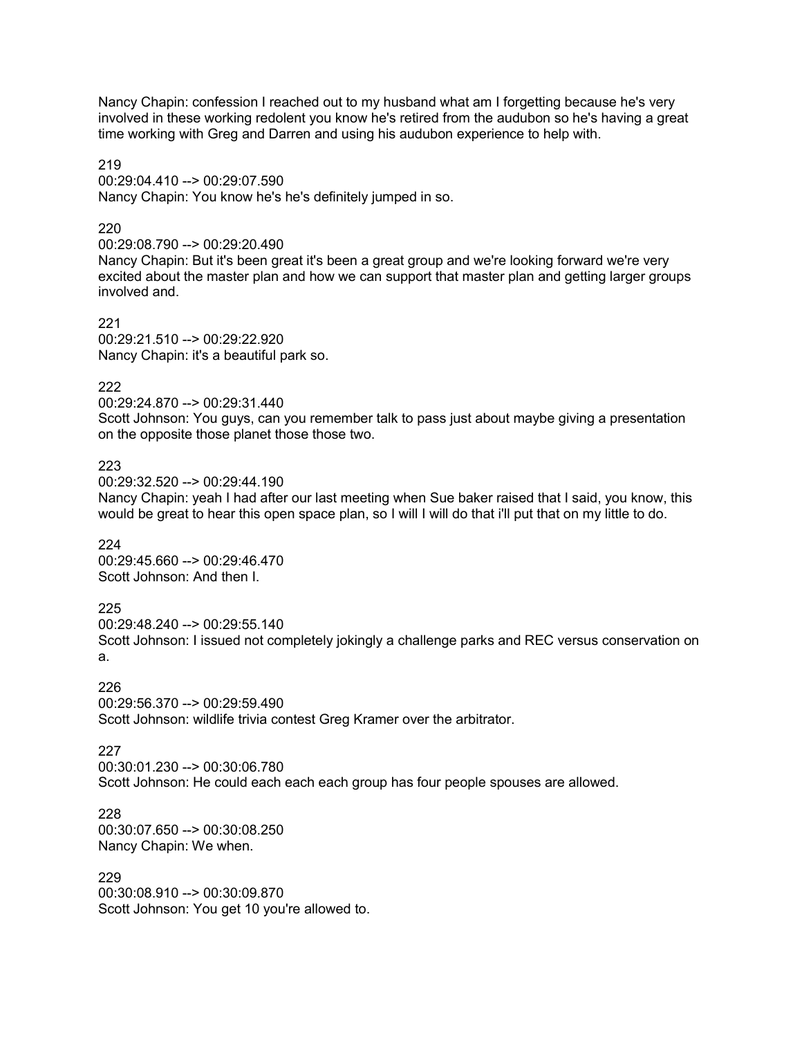Nancy Chapin: confession I reached out to my husband what am I forgetting because he's very involved in these working redolent you know he's retired from the audubon so he's having a great time working with Greg and Darren and using his audubon experience to help with.

219 00:29:04.410 --> 00:29:07.590 Nancy Chapin: You know he's he's definitely jumped in so.

# 220

00:29:08.790 --> 00:29:20.490

Nancy Chapin: But it's been great it's been a great group and we're looking forward we're very excited about the master plan and how we can support that master plan and getting larger groups involved and.

221 00:29:21.510 --> 00:29:22.920 Nancy Chapin: it's a beautiful park so.

# 222

00:29:24.870 --> 00:29:31.440 Scott Johnson: You guys, can you remember talk to pass just about maybe giving a presentation on the opposite those planet those those two.

223

00:29:32.520 --> 00:29:44.190

Nancy Chapin: yeah I had after our last meeting when Sue baker raised that I said, you know, this would be great to hear this open space plan, so I will I will do that i'll put that on my little to do.

224

00:29:45.660 --> 00:29:46.470 Scott Johnson: And then I.

# 225

00:29:48.240 --> 00:29:55.140 Scott Johnson: I issued not completely jokingly a challenge parks and REC versus conservation on a.

226 00:29:56.370 --> 00:29:59.490

Scott Johnson: wildlife trivia contest Greg Kramer over the arbitrator.

227

00:30:01.230 --> 00:30:06.780 Scott Johnson: He could each each each group has four people spouses are allowed.

228 00:30:07.650 --> 00:30:08.250 Nancy Chapin: We when.

229 00:30:08.910 --> 00:30:09.870 Scott Johnson: You get 10 you're allowed to.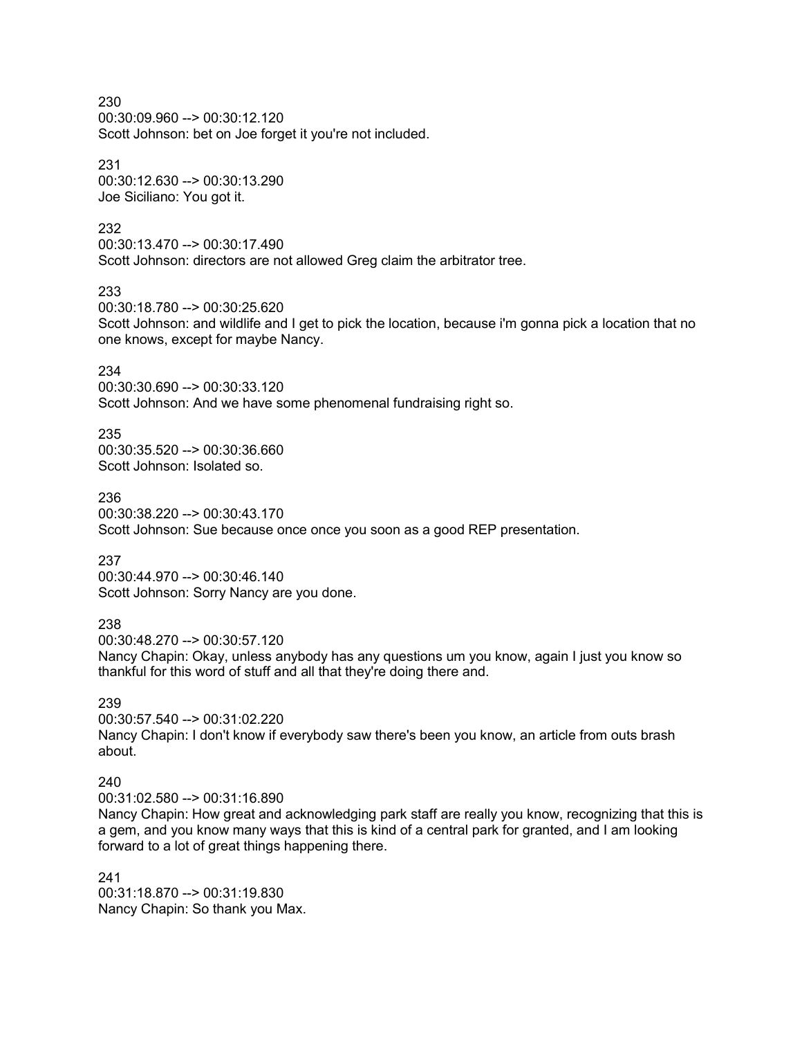00:30:09.960 --> 00:30:12.120 Scott Johnson: bet on Joe forget it you're not included.

231 00:30:12.630 --> 00:30:13.290 Joe Siciliano: You got it.

#### 232

00:30:13.470 --> 00:30:17.490 Scott Johnson: directors are not allowed Greg claim the arbitrator tree.

### 233

00:30:18.780 --> 00:30:25.620 Scott Johnson: and wildlife and I get to pick the location, because i'm gonna pick a location that no one knows, except for maybe Nancy.

### 234

00:30:30.690 --> 00:30:33.120 Scott Johnson: And we have some phenomenal fundraising right so.

235

00:30:35.520 --> 00:30:36.660 Scott Johnson: Isolated so.

236 00:30:38.220 --> 00:30:43.170 Scott Johnson: Sue because once once you soon as a good REP presentation.

# 237

00:30:44.970 --> 00:30:46.140 Scott Johnson: Sorry Nancy are you done.

### 238

00:30:48.270 --> 00:30:57.120

Nancy Chapin: Okay, unless anybody has any questions um you know, again I just you know so thankful for this word of stuff and all that they're doing there and.

### 239

00:30:57.540 --> 00:31:02.220 Nancy Chapin: I don't know if everybody saw there's been you know, an article from outs brash about.

#### 240

00:31:02.580 --> 00:31:16.890

Nancy Chapin: How great and acknowledging park staff are really you know, recognizing that this is a gem, and you know many ways that this is kind of a central park for granted, and I am looking forward to a lot of great things happening there.

241 00:31:18.870 --> 00:31:19.830 Nancy Chapin: So thank you Max.

230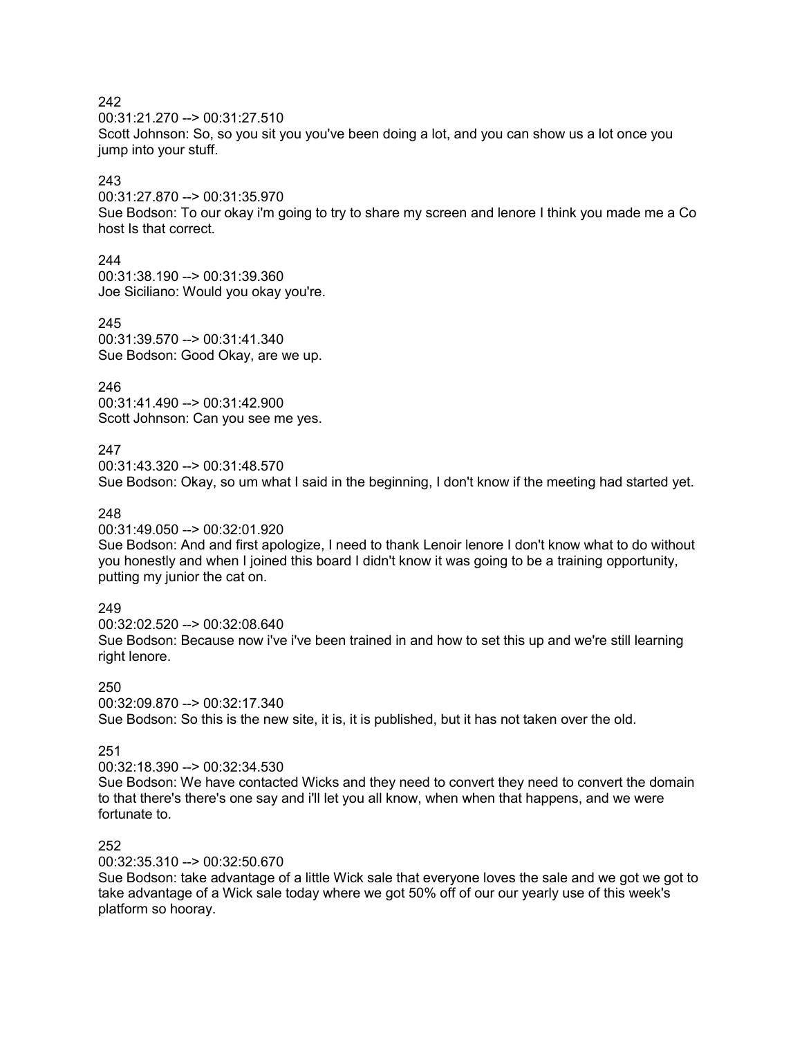00:31:21.270 --> 00:31:27.510

Scott Johnson: So, so you sit you you've been doing a lot, and you can show us a lot once you jump into your stuff.

# 243

00:31:27.870 --> 00:31:35.970

Sue Bodson: To our okay i'm going to try to share my screen and lenore I think you made me a Co host Is that correct.

# 244

00:31:38.190 --> 00:31:39.360 Joe Siciliano: Would you okay you're.

# 245

00:31:39.570 --> 00:31:41.340 Sue Bodson: Good Okay, are we up.

# 246

00:31:41.490 --> 00:31:42.900 Scott Johnson: Can you see me yes.

# 247

00:31:43.320 --> 00:31:48.570 Sue Bodson: Okay, so um what I said in the beginning, I don't know if the meeting had started yet.

# 248

00:31:49.050 --> 00:32:01.920

Sue Bodson: And and first apologize, I need to thank Lenoir lenore I don't know what to do without you honestly and when I joined this board I didn't know it was going to be a training opportunity, putting my junior the cat on.

# 249

00:32:02.520 --> 00:32:08.640 Sue Bodson: Because now i've i've been trained in and how to set this up and we're still learning right lenore.

# 250

 $00:32:09.870 \rightarrow 00:32:17.340$ 

Sue Bodson: So this is the new site, it is, it is published, but it has not taken over the old.

# 251

00:32:18.390 --> 00:32:34.530

Sue Bodson: We have contacted Wicks and they need to convert they need to convert the domain to that there's there's one say and i'll let you all know, when when that happens, and we were fortunate to.

# 252

00:32:35.310 --> 00:32:50.670

Sue Bodson: take advantage of a little Wick sale that everyone loves the sale and we got we got to take advantage of a Wick sale today where we got 50% off of our our yearly use of this week's platform so hooray.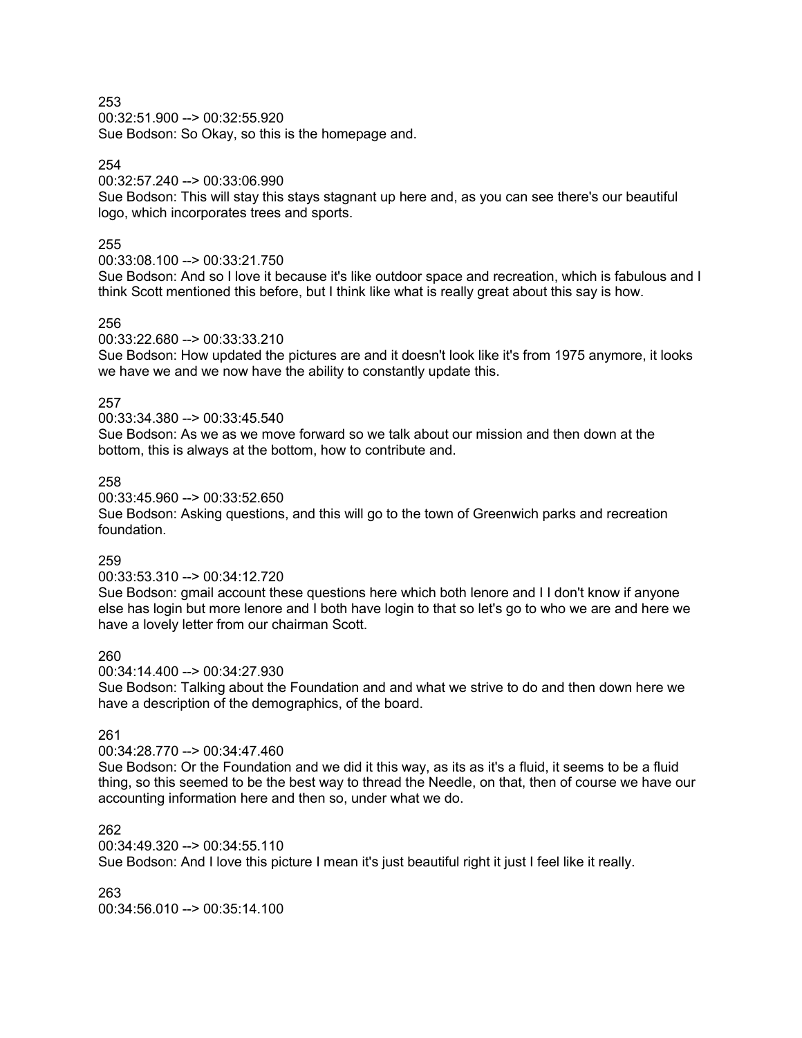00:32:51.900 --> 00:32:55.920 Sue Bodson: So Okay, so this is the homepage and.

### 254

### 00:32:57.240 --> 00:33:06.990

Sue Bodson: This will stay this stays stagnant up here and, as you can see there's our beautiful logo, which incorporates trees and sports.

### 255

### 00:33:08.100 --> 00:33:21.750

Sue Bodson: And so I love it because it's like outdoor space and recreation, which is fabulous and I think Scott mentioned this before, but I think like what is really great about this say is how.

### 256

00:33:22.680 --> 00:33:33.210

Sue Bodson: How updated the pictures are and it doesn't look like it's from 1975 anymore, it looks we have we and we now have the ability to constantly update this.

### 257

00:33:34.380 --> 00:33:45.540

Sue Bodson: As we as we move forward so we talk about our mission and then down at the bottom, this is always at the bottom, how to contribute and.

### 258

00:33:45.960 --> 00:33:52.650

Sue Bodson: Asking questions, and this will go to the town of Greenwich parks and recreation foundation.

# 259

#### 00:33:53.310 --> 00:34:12.720

Sue Bodson: gmail account these questions here which both lenore and I I don't know if anyone else has login but more lenore and I both have login to that so let's go to who we are and here we have a lovely letter from our chairman Scott.

### 260

00:34:14.400 --> 00:34:27.930

Sue Bodson: Talking about the Foundation and and what we strive to do and then down here we have a description of the demographics, of the board.

# 261

#### 00:34:28.770 --> 00:34:47.460

Sue Bodson: Or the Foundation and we did it this way, as its as it's a fluid, it seems to be a fluid thing, so this seemed to be the best way to thread the Needle, on that, then of course we have our accounting information here and then so, under what we do.

# 262

00:34:49.320 --> 00:34:55.110

Sue Bodson: And I love this picture I mean it's just beautiful right it just I feel like it really.

# 263

00:34:56.010 --> 00:35:14.100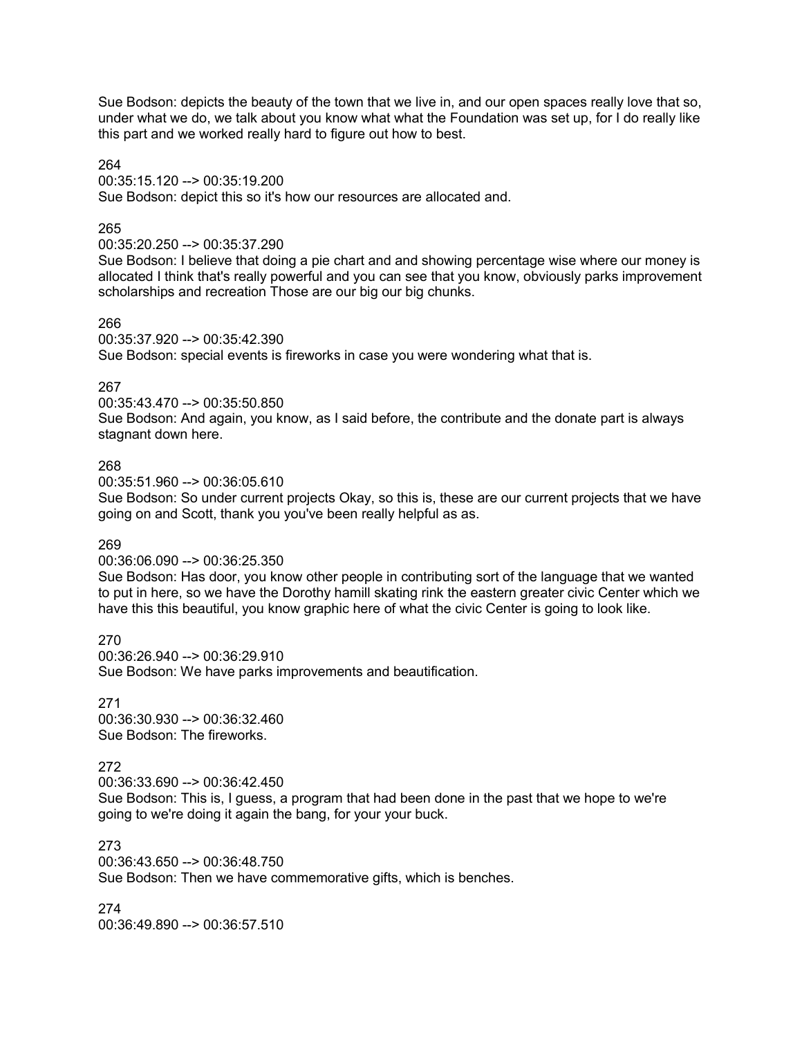Sue Bodson: depicts the beauty of the town that we live in, and our open spaces really love that so, under what we do, we talk about you know what what the Foundation was set up, for I do really like this part and we worked really hard to figure out how to best.

264 00:35:15.120 --> 00:35:19.200 Sue Bodson: depict this so it's how our resources are allocated and.

### 265

### 00:35:20.250 --> 00:35:37.290

Sue Bodson: I believe that doing a pie chart and and showing percentage wise where our money is allocated I think that's really powerful and you can see that you know, obviously parks improvement scholarships and recreation Those are our big our big chunks.

### 266

00:35:37.920 --> 00:35:42.390 Sue Bodson: special events is fireworks in case you were wondering what that is.

### 267

00:35:43.470 --> 00:35:50.850

Sue Bodson: And again, you know, as I said before, the contribute and the donate part is always stagnant down here.

#### 268

00:35:51.960 --> 00:36:05.610

Sue Bodson: So under current projects Okay, so this is, these are our current projects that we have going on and Scott, thank you you've been really helpful as as.

#### 269

### 00:36:06.090 --> 00:36:25.350

Sue Bodson: Has door, you know other people in contributing sort of the language that we wanted to put in here, so we have the Dorothy hamill skating rink the eastern greater civic Center which we have this this beautiful, you know graphic here of what the civic Center is going to look like.

270 00:36:26.940 --> 00:36:29.910 Sue Bodson: We have parks improvements and beautification.

271 00:36:30.930 --> 00:36:32.460 Sue Bodson: The fireworks.

# 272

00:36:33.690 --> 00:36:42.450

Sue Bodson: This is, I guess, a program that had been done in the past that we hope to we're going to we're doing it again the bang, for your your buck.

# 273

00:36:43.650 --> 00:36:48.750 Sue Bodson: Then we have commemorative gifts, which is benches.

274 00:36:49.890 --> 00:36:57.510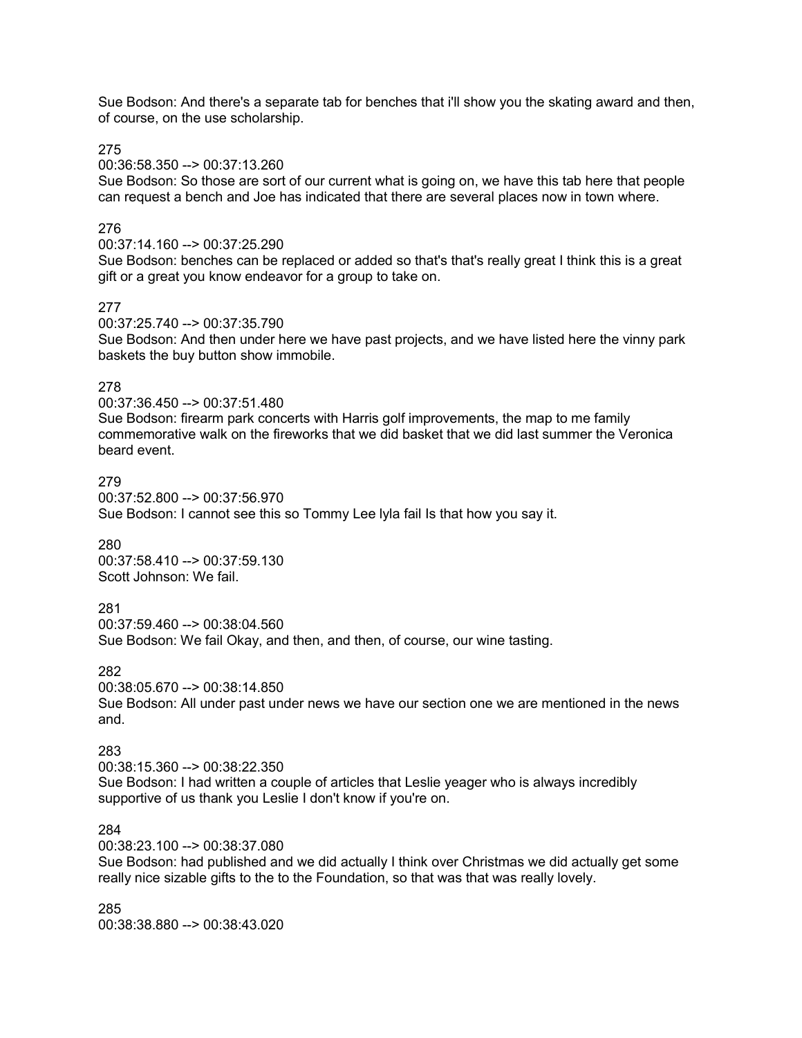Sue Bodson: And there's a separate tab for benches that i'll show you the skating award and then, of course, on the use scholarship.

275

00:36:58.350 --> 00:37:13.260

Sue Bodson: So those are sort of our current what is going on, we have this tab here that people can request a bench and Joe has indicated that there are several places now in town where.

#### 276

00:37:14.160 --> 00:37:25.290

Sue Bodson: benches can be replaced or added so that's that's really great I think this is a great gift or a great you know endeavor for a group to take on.

#### 277

00:37:25.740 --> 00:37:35.790

Sue Bodson: And then under here we have past projects, and we have listed here the vinny park baskets the buy button show immobile.

#### 278

00:37:36.450 --> 00:37:51.480 Sue Bodson: firearm park concerts with Harris golf improvements, the map to me family commemorative walk on the fireworks that we did basket that we did last summer the Veronica beard event.

#### 279

00:37:52.800 --> 00:37:56.970 Sue Bodson: I cannot see this so Tommy Lee lyla fail Is that how you say it.

#### 280

00:37:58.410 --> 00:37:59.130 Scott Johnson: We fail.

### 281

00:37:59.460 --> 00:38:04.560 Sue Bodson: We fail Okay, and then, and then, of course, our wine tasting.

# 282

00:38:05.670 --> 00:38:14.850 Sue Bodson: All under past under news we have our section one we are mentioned in the news and.

#### 283

00:38:15.360 --> 00:38:22.350 Sue Bodson: I had written a couple of articles that Leslie yeager who is always incredibly supportive of us thank you Leslie I don't know if you're on.

### 284

00:38:23.100 --> 00:38:37.080

Sue Bodson: had published and we did actually I think over Christmas we did actually get some really nice sizable gifts to the to the Foundation, so that was that was really lovely.

285 00:38:38.880 --> 00:38:43.020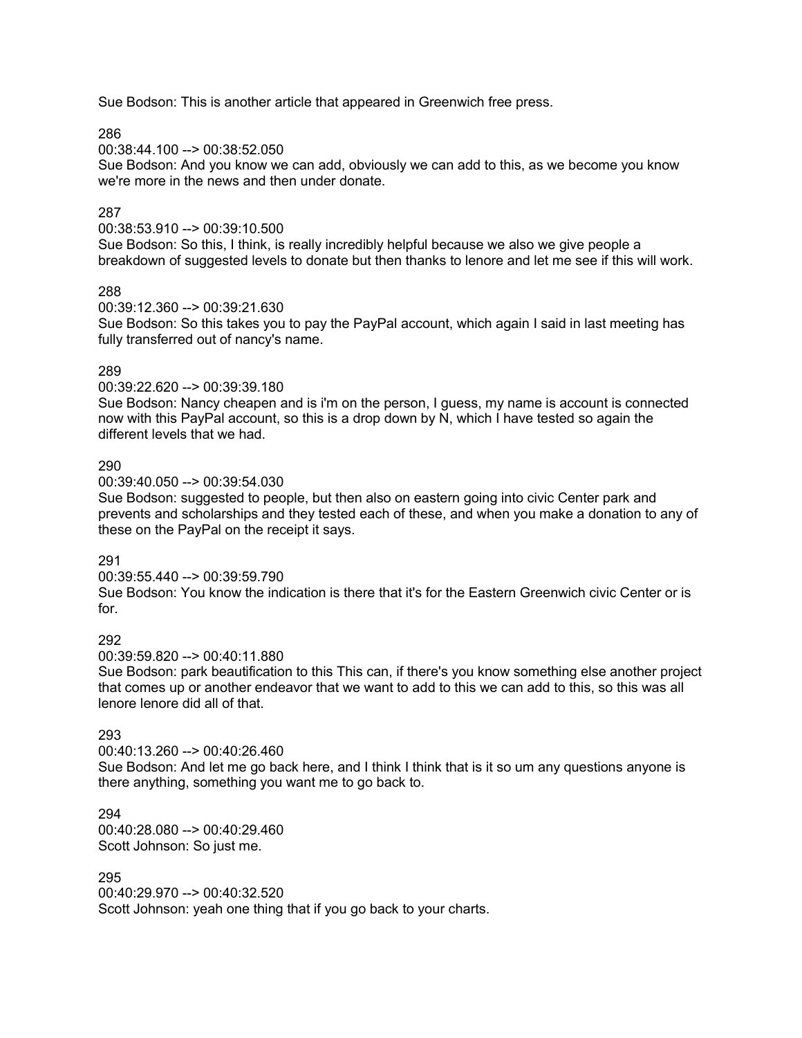Sue Bodson: This is another article that appeared in Greenwich free press.

286

00:38:44.100 --> 00:38:52.050

Sue Bodson: And you know we can add, obviously we can add to this, as we become you know we're more in the news and then under donate.

# 287

00:38:53.910 --> 00:39:10.500

Sue Bodson: So this, I think, is really incredibly helpful because we also we give people a breakdown of suggested levels to donate but then thanks to lenore and let me see if this will work.

### 288

00:39:12.360 --> 00:39:21.630

Sue Bodson: So this takes you to pay the PayPal account, which again I said in last meeting has fully transferred out of nancy's name.

# 289

00:39:22.620 --> 00:39:39.180

Sue Bodson: Nancy cheapen and is i'm on the person, I guess, my name is account is connected now with this PayPal account, so this is a drop down by N, which I have tested so again the different levels that we had.

# 290

00:39:40.050 --> 00:39:54.030

Sue Bodson: suggested to people, but then also on eastern going into civic Center park and prevents and scholarships and they tested each of these, and when you make a donation to any of these on the PayPal on the receipt it says.

# 291

00:39:55.440 --> 00:39:59.790

Sue Bodson: You know the indication is there that it's for the Eastern Greenwich civic Center or is for.

# 292

00:39:59.820 --> 00:40:11.880

Sue Bodson: park beautification to this This can, if there's you know something else another project that comes up or another endeavor that we want to add to this we can add to this, so this was all lenore lenore did all of that.

# 293

00:40:13.260 --> 00:40:26.460

Sue Bodson: And let me go back here, and I think I think that is it so um any questions anyone is there anything, something you want me to go back to.

294 00:40:28.080 --> 00:40:29.460 Scott Johnson: So just me.

# 295

00:40:29.970 --> 00:40:32.520 Scott Johnson: yeah one thing that if you go back to your charts.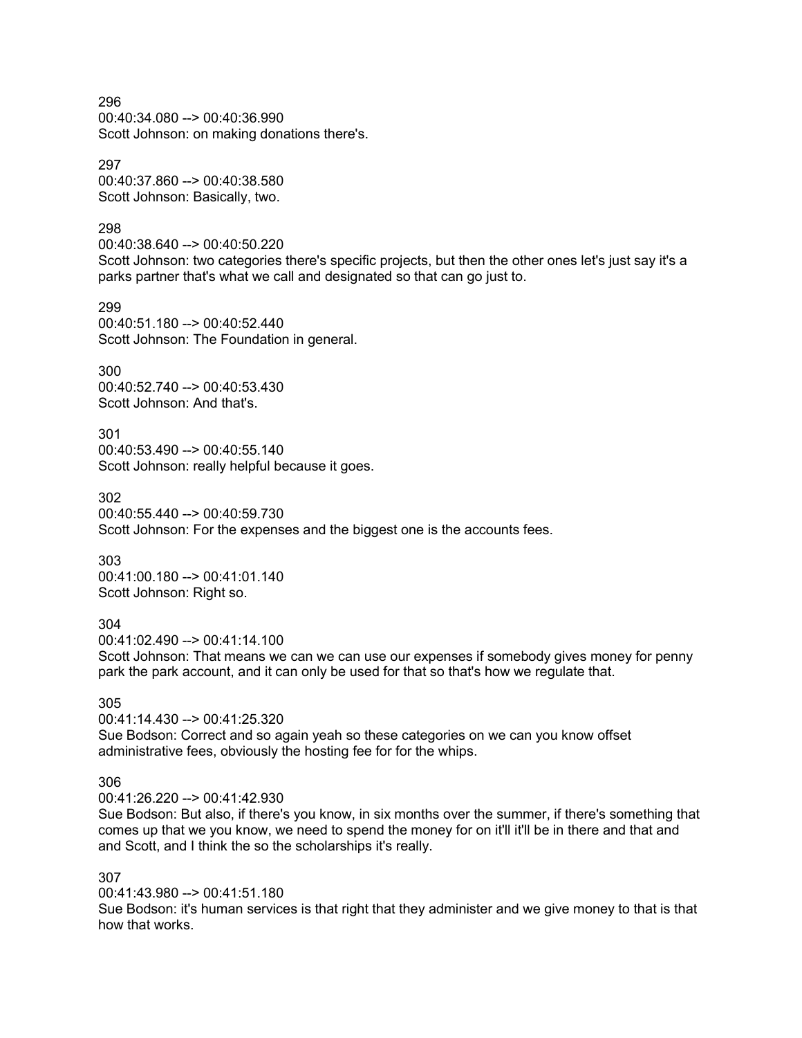296 00:40:34.080 --> 00:40:36.990 Scott Johnson: on making donations there's.

297 00:40:37.860 --> 00:40:38.580 Scott Johnson: Basically, two.

298

00:40:38.640 --> 00:40:50.220

Scott Johnson: two categories there's specific projects, but then the other ones let's just say it's a parks partner that's what we call and designated so that can go just to.

299 00:40:51.180 --> 00:40:52.440 Scott Johnson: The Foundation in general.

300 00:40:52.740 --> 00:40:53.430 Scott Johnson: And that's.

301 00:40:53.490 --> 00:40:55.140 Scott Johnson: really helpful because it goes.

302 00:40:55.440 --> 00:40:59.730 Scott Johnson: For the expenses and the biggest one is the accounts fees.

303 00:41:00.180 --> 00:41:01.140 Scott Johnson: Right so.

### 304

00:41:02.490 --> 00:41:14.100

Scott Johnson: That means we can we can use our expenses if somebody gives money for penny park the park account, and it can only be used for that so that's how we regulate that.

305

00:41:14.430 --> 00:41:25.320 Sue Bodson: Correct and so again yeah so these categories on we can you know offset administrative fees, obviously the hosting fee for for the whips.

### 306

00:41:26.220 --> 00:41:42.930

Sue Bodson: But also, if there's you know, in six months over the summer, if there's something that comes up that we you know, we need to spend the money for on it'll it'll be in there and that and and Scott, and I think the so the scholarships it's really.

#### 307

00:41:43.980 --> 00:41:51.180

Sue Bodson: it's human services is that right that they administer and we give money to that is that how that works.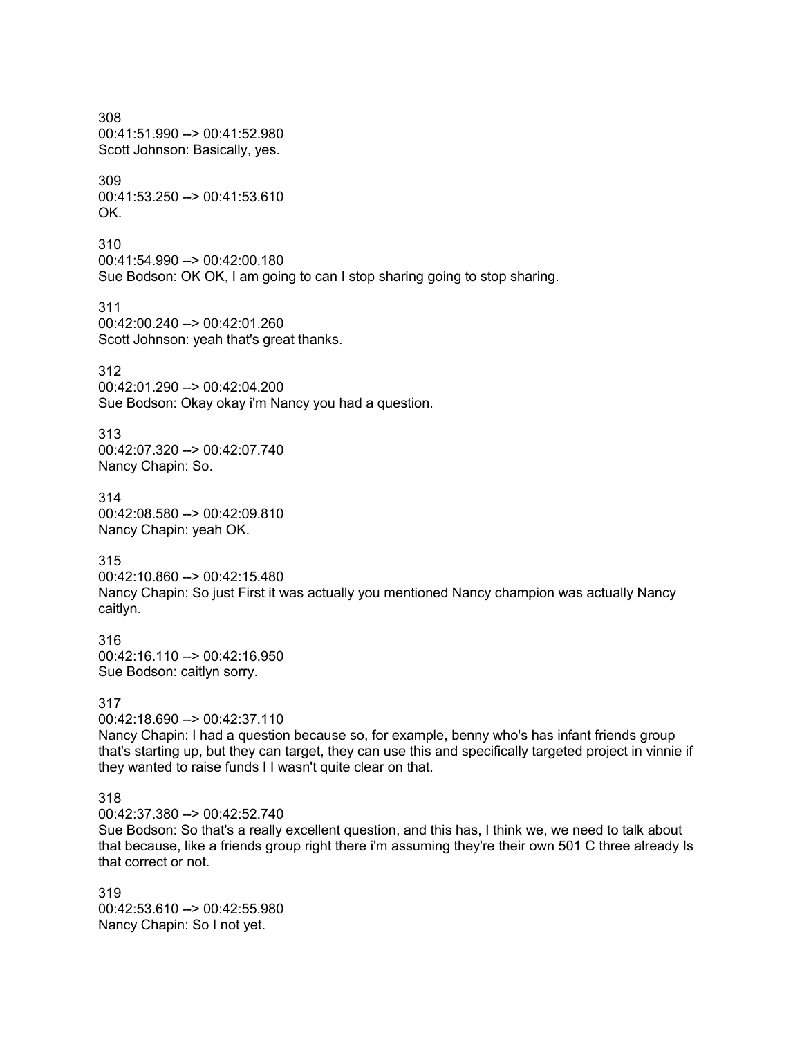308 00:41:51.990 --> 00:41:52.980 Scott Johnson: Basically, yes. 309 00:41:53.250 --> 00:41:53.610 OK. 310 00:41:54.990 --> 00:42:00.180 Sue Bodson: OK OK, I am going to can I stop sharing going to stop sharing. 311 00:42:00.240 --> 00:42:01.260 Scott Johnson: yeah that's great thanks. 312 00:42:01.290 --> 00:42:04.200 Sue Bodson: Okay okay i'm Nancy you had a question. 313 00:42:07.320 --> 00:42:07.740 Nancy Chapin: So. 314 00:42:08.580 --> 00:42:09.810 Nancy Chapin: yeah OK. 315 00:42:10.860 --> 00:42:15.480 Nancy Chapin: So just First it was actually you mentioned Nancy champion was actually Nancy caitlyn. 316 00:42:16.110 --> 00:42:16.950 Sue Bodson: caitlyn sorry. 317 00:42:18.690 --> 00:42:37.110 Nancy Chapin: I had a question because so, for example, benny who's has infant friends group that's starting up, but they can target, they can use this and specifically targeted project in vinnie if they wanted to raise funds I I wasn't quite clear on that. 318 00:42:37.380 --> 00:42:52.740 Sue Bodson: So that's a really excellent question, and this has, I think we, we need to talk about that because, like a friends group right there i'm assuming they're their own 501 C three already Is that correct or not. 319

00:42:53.610 --> 00:42:55.980 Nancy Chapin: So I not yet.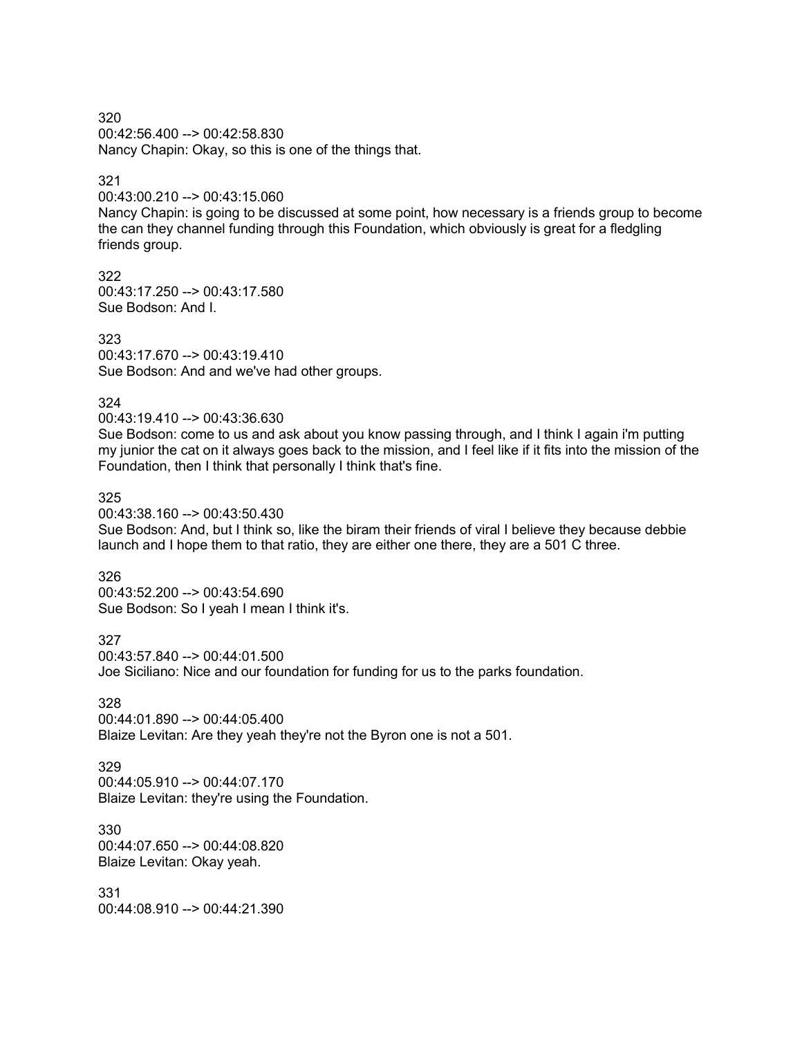320 00:42:56.400 --> 00:42:58.830 Nancy Chapin: Okay, so this is one of the things that.

# 321

00:43:00.210 --> 00:43:15.060

Nancy Chapin: is going to be discussed at some point, how necessary is a friends group to become the can they channel funding through this Foundation, which obviously is great for a fledgling friends group.

322 00:43:17.250 --> 00:43:17.580 Sue Bodson: And I.

323 00:43:17.670 --> 00:43:19.410 Sue Bodson: And and we've had other groups.

324

00:43:19.410 --> 00:43:36.630

Sue Bodson: come to us and ask about you know passing through, and I think I again i'm putting my junior the cat on it always goes back to the mission, and I feel like if it fits into the mission of the Foundation, then I think that personally I think that's fine.

325

00:43:38.160 --> 00:43:50.430

Sue Bodson: And, but I think so, like the biram their friends of viral I believe they because debbie launch and I hope them to that ratio, they are either one there, they are a 501 C three.

326

00:43:52.200 --> 00:43:54.690 Sue Bodson: So I yeah I mean I think it's.

327 00:43:57.840 --> 00:44:01.500

Joe Siciliano: Nice and our foundation for funding for us to the parks foundation.

328

00:44:01.890 --> 00:44:05.400 Blaize Levitan: Are they yeah they're not the Byron one is not a 501.

329

00:44:05.910 --> 00:44:07.170 Blaize Levitan: they're using the Foundation.

330 00:44:07.650 --> 00:44:08.820 Blaize Levitan: Okay yeah.

331 00:44:08.910 --> 00:44:21.390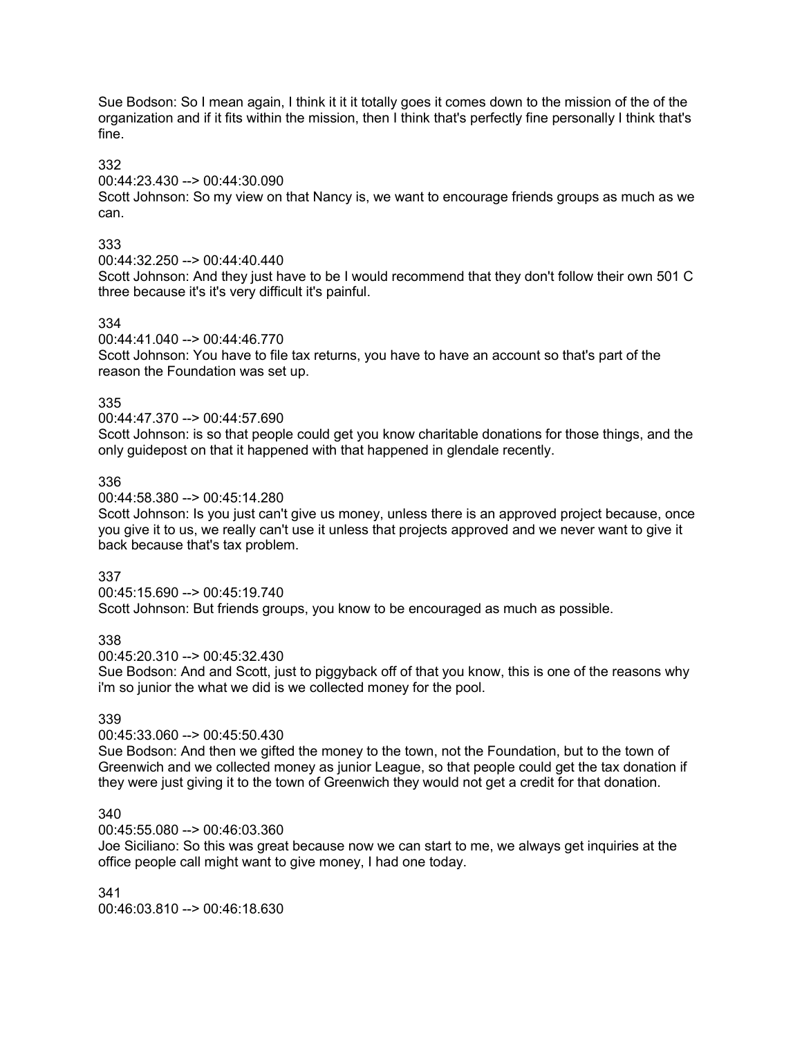Sue Bodson: So I mean again, I think it it it totally goes it comes down to the mission of the of the organization and if it fits within the mission, then I think that's perfectly fine personally I think that's fine.

# 332

00:44:23.430 --> 00:44:30.090

Scott Johnson: So my view on that Nancy is, we want to encourage friends groups as much as we can.

# 333

00:44:32.250 --> 00:44:40.440

Scott Johnson: And they just have to be I would recommend that they don't follow their own 501 C three because it's it's very difficult it's painful.

# 334

00:44:41.040 --> 00:44:46.770

Scott Johnson: You have to file tax returns, you have to have an account so that's part of the reason the Foundation was set up.

# 335

00:44:47.370 --> 00:44:57.690

Scott Johnson: is so that people could get you know charitable donations for those things, and the only guidepost on that it happened with that happened in glendale recently.

# 336

00:44:58.380 --> 00:45:14.280

Scott Johnson: Is you just can't give us money, unless there is an approved project because, once you give it to us, we really can't use it unless that projects approved and we never want to give it back because that's tax problem.

# 337

00:45:15.690 --> 00:45:19.740 Scott Johnson: But friends groups, you know to be encouraged as much as possible.

338

00:45:20.310 --> 00:45:32.430

Sue Bodson: And and Scott, just to piggyback off of that you know, this is one of the reasons why i'm so junior the what we did is we collected money for the pool.

# 339

# 00:45:33.060 --> 00:45:50.430

Sue Bodson: And then we gifted the money to the town, not the Foundation, but to the town of Greenwich and we collected money as junior League, so that people could get the tax donation if they were just giving it to the town of Greenwich they would not get a credit for that donation.

# 340

00:45:55.080 --> 00:46:03.360

Joe Siciliano: So this was great because now we can start to me, we always get inquiries at the office people call might want to give money, I had one today.

341 00:46:03.810 --> 00:46:18.630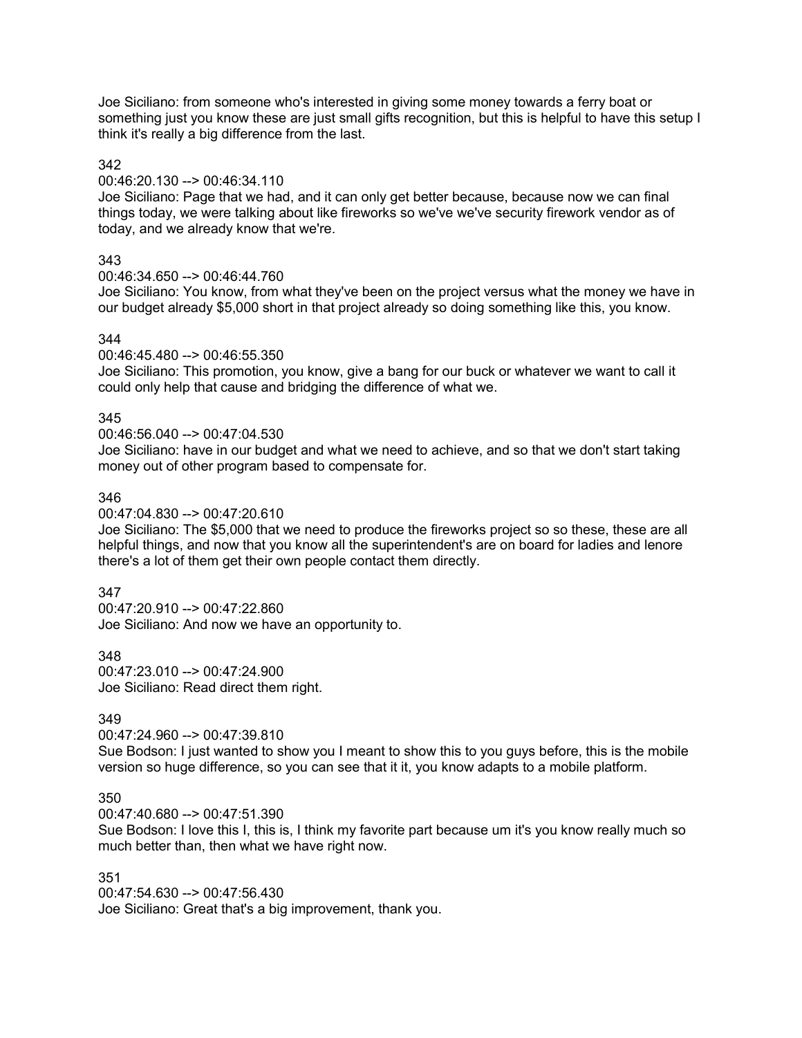Joe Siciliano: from someone who's interested in giving some money towards a ferry boat or something just you know these are just small gifts recognition, but this is helpful to have this setup I think it's really a big difference from the last.

### 342

00:46:20.130 --> 00:46:34.110

Joe Siciliano: Page that we had, and it can only get better because, because now we can final things today, we were talking about like fireworks so we've we've security firework vendor as of today, and we already know that we're.

# 343

00:46:34.650 --> 00:46:44.760

Joe Siciliano: You know, from what they've been on the project versus what the money we have in our budget already \$5,000 short in that project already so doing something like this, you know.

# 344

00:46:45.480 --> 00:46:55.350

Joe Siciliano: This promotion, you know, give a bang for our buck or whatever we want to call it could only help that cause and bridging the difference of what we.

# 345

### 00:46:56.040 --> 00:47:04.530

Joe Siciliano: have in our budget and what we need to achieve, and so that we don't start taking money out of other program based to compensate for.

# 346

00:47:04.830 --> 00:47:20.610

Joe Siciliano: The \$5,000 that we need to produce the fireworks project so so these, these are all helpful things, and now that you know all the superintendent's are on board for ladies and lenore there's a lot of them get their own people contact them directly.

# 347

00:47:20.910 --> 00:47:22.860 Joe Siciliano: And now we have an opportunity to.

348 00:47:23.010 --> 00:47:24.900 Joe Siciliano: Read direct them right.

# 349

# 00:47:24.960 --> 00:47:39.810

Sue Bodson: I just wanted to show you I meant to show this to you guys before, this is the mobile version so huge difference, so you can see that it it, you know adapts to a mobile platform.

# 350

00:47:40.680 --> 00:47:51.390

Sue Bodson: I love this I, this is, I think my favorite part because um it's you know really much so much better than, then what we have right now.

# 351

00:47:54.630 --> 00:47:56.430 Joe Siciliano: Great that's a big improvement, thank you.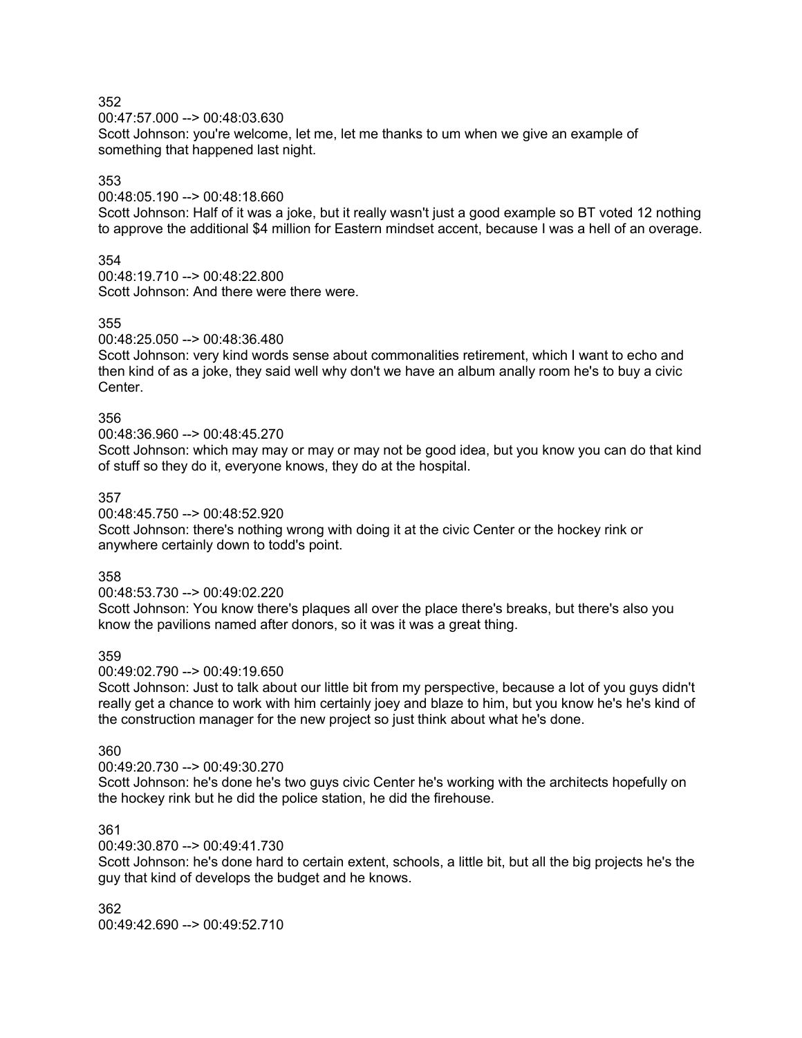00:47:57.000 --> 00:48:03.630

Scott Johnson: you're welcome, let me, let me thanks to um when we give an example of something that happened last night.

# 353

00:48:05.190 --> 00:48:18.660

Scott Johnson: Half of it was a joke, but it really wasn't just a good example so BT voted 12 nothing to approve the additional \$4 million for Eastern mindset accent, because I was a hell of an overage.

# 354

00:48:19.710 --> 00:48:22.800 Scott Johnson: And there were there were.

### 355

00:48:25.050 --> 00:48:36.480

Scott Johnson: very kind words sense about commonalities retirement, which I want to echo and then kind of as a joke, they said well why don't we have an album anally room he's to buy a civic Center.

# 356

00:48:36.960 --> 00:48:45.270

Scott Johnson: which may may or may or may not be good idea, but you know you can do that kind of stuff so they do it, everyone knows, they do at the hospital.

### 357

00:48:45.750 --> 00:48:52.920

Scott Johnson: there's nothing wrong with doing it at the civic Center or the hockey rink or anywhere certainly down to todd's point.

### 358

00:48:53.730 --> 00:49:02.220

Scott Johnson: You know there's plaques all over the place there's breaks, but there's also you know the pavilions named after donors, so it was it was a great thing.

# 359

00:49:02.790 --> 00:49:19.650

Scott Johnson: Just to talk about our little bit from my perspective, because a lot of you guys didn't really get a chance to work with him certainly joey and blaze to him, but you know he's he's kind of the construction manager for the new project so just think about what he's done.

#### 360

00:49:20.730 --> 00:49:30.270

Scott Johnson: he's done he's two guys civic Center he's working with the architects hopefully on the hockey rink but he did the police station, he did the firehouse.

# 361

00:49:30.870 --> 00:49:41.730

Scott Johnson: he's done hard to certain extent, schools, a little bit, but all the big projects he's the guy that kind of develops the budget and he knows.

362 00:49:42.690 --> 00:49:52.710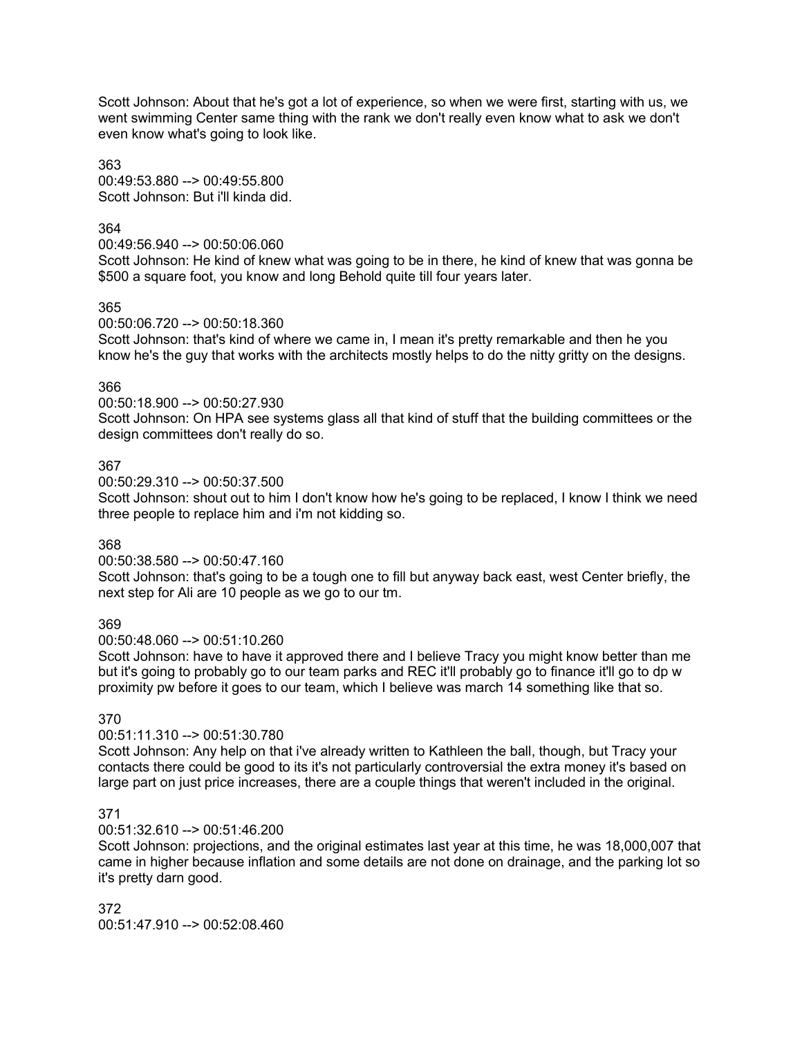Scott Johnson: About that he's got a lot of experience, so when we were first, starting with us, we went swimming Center same thing with the rank we don't really even know what to ask we don't even know what's going to look like.

363 00:49:53.880 --> 00:49:55.800 Scott Johnson: But i'll kinda did.

### 364

00:49:56.940 --> 00:50:06.060

Scott Johnson: He kind of knew what was going to be in there, he kind of knew that was gonna be \$500 a square foot, you know and long Behold quite till four years later.

### 365

00:50:06.720 --> 00:50:18.360

Scott Johnson: that's kind of where we came in, I mean it's pretty remarkable and then he you know he's the guy that works with the architects mostly helps to do the nitty gritty on the designs.

### 366

00:50:18.900 --> 00:50:27.930

Scott Johnson: On HPA see systems glass all that kind of stuff that the building committees or the design committees don't really do so.

### 367

00:50:29.310 --> 00:50:37.500

Scott Johnson: shout out to him I don't know how he's going to be replaced, I know I think we need three people to replace him and i'm not kidding so.

#### 368

### 00:50:38.580 --> 00:50:47.160

Scott Johnson: that's going to be a tough one to fill but anyway back east, west Center briefly, the next step for Ali are 10 people as we go to our tm.

### 369

00:50:48.060 --> 00:51:10.260

Scott Johnson: have to have it approved there and I believe Tracy you might know better than me but it's going to probably go to our team parks and REC it'll probably go to finance it'll go to dp w proximity pw before it goes to our team, which I believe was march 14 something like that so.

# 370

### 00:51:11.310 --> 00:51:30.780

Scott Johnson: Any help on that i've already written to Kathleen the ball, though, but Tracy your contacts there could be good to its it's not particularly controversial the extra money it's based on large part on just price increases, there are a couple things that weren't included in the original.

### 371

### 00:51:32.610 --> 00:51:46.200

Scott Johnson: projections, and the original estimates last year at this time, he was 18,000,007 that came in higher because inflation and some details are not done on drainage, and the parking lot so it's pretty darn good.

372 00:51:47.910 --> 00:52:08.460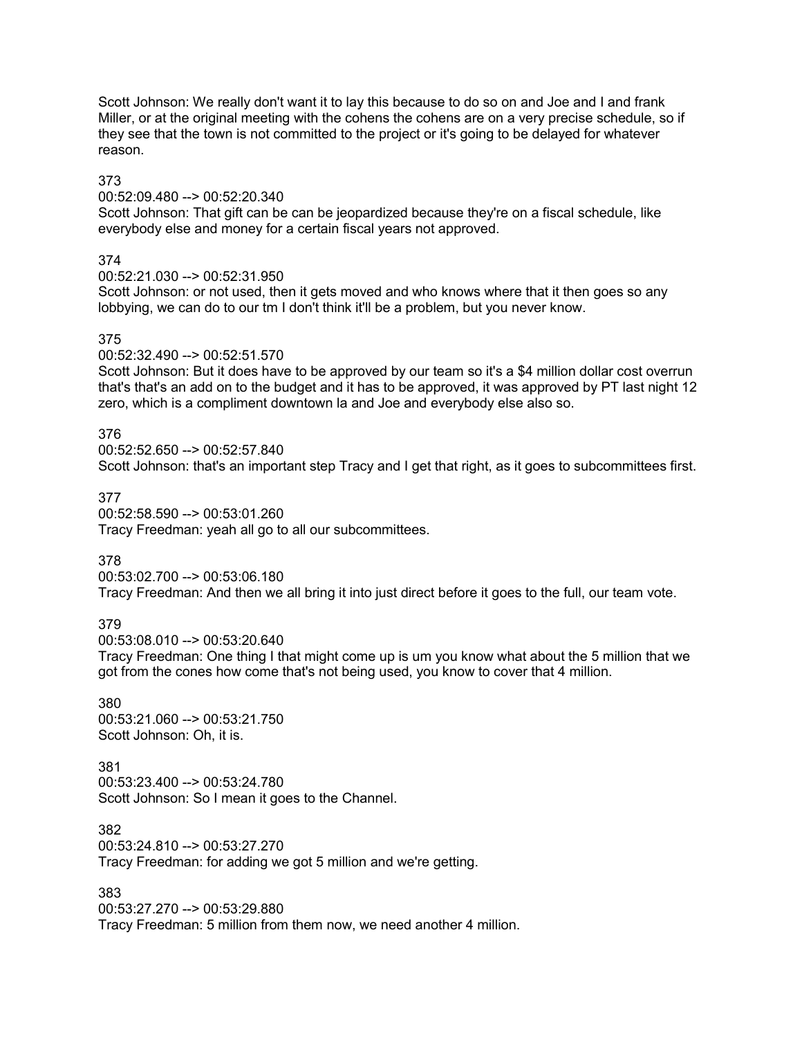Scott Johnson: We really don't want it to lay this because to do so on and Joe and I and frank Miller, or at the original meeting with the cohens the cohens are on a very precise schedule, so if they see that the town is not committed to the project or it's going to be delayed for whatever reason.

### 373

00:52:09.480 --> 00:52:20.340

Scott Johnson: That gift can be can be jeopardized because they're on a fiscal schedule, like everybody else and money for a certain fiscal years not approved.

# 374

00:52:21.030 --> 00:52:31.950

Scott Johnson: or not used, then it gets moved and who knows where that it then goes so any lobbying, we can do to our tm I don't think it'll be a problem, but you never know.

# 375

00:52:32.490 --> 00:52:51.570

Scott Johnson: But it does have to be approved by our team so it's a \$4 million dollar cost overrun that's that's an add on to the budget and it has to be approved, it was approved by PT last night 12 zero, which is a compliment downtown la and Joe and everybody else also so.

# 376

00:52:52.650 --> 00:52:57.840 Scott Johnson: that's an important step Tracy and I get that right, as it goes to subcommittees first.

# 377

00:52:58.590 --> 00:53:01.260 Tracy Freedman: yeah all go to all our subcommittees.

# 378

00:53:02.700 --> 00:53:06.180 Tracy Freedman: And then we all bring it into just direct before it goes to the full, our team vote.

# 379

00:53:08.010 --> 00:53:20.640

Tracy Freedman: One thing I that might come up is um you know what about the 5 million that we got from the cones how come that's not being used, you know to cover that 4 million.

380 00:53:21.060 --> 00:53:21.750 Scott Johnson: Oh, it is.

381 00:53:23.400 --> 00:53:24.780 Scott Johnson: So I mean it goes to the Channel.

382 00:53:24.810 --> 00:53:27.270 Tracy Freedman: for adding we got 5 million and we're getting.

383

00:53:27.270 --> 00:53:29.880 Tracy Freedman: 5 million from them now, we need another 4 million.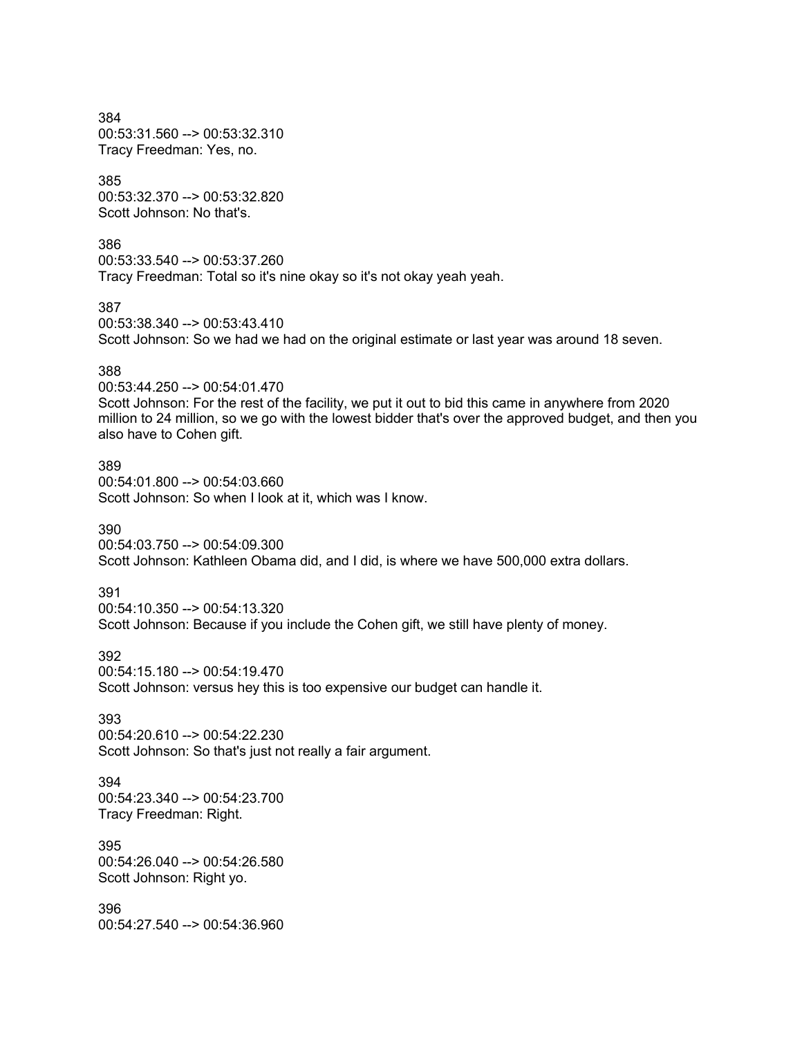384 00:53:31.560 --> 00:53:32.310 Tracy Freedman: Yes, no.

385 00:53:32.370 --> 00:53:32.820 Scott Johnson: No that's

386 00:53:33.540 --> 00:53:37.260 Tracy Freedman: Total so it's nine okay so it's not okay yeah yeah.

387

00:53:38.340 --> 00:53:43.410 Scott Johnson: So we had we had on the original estimate or last year was around 18 seven.

### 388

00:53:44.250 --> 00:54:01.470 Scott Johnson: For the rest of the facility, we put it out to bid this came in anywhere from 2020 million to 24 million, so we go with the lowest bidder that's over the approved budget, and then you also have to Cohen gift.

389 00:54:01.800 --> 00:54:03.660 Scott Johnson: So when I look at it, which was I know.

390

00:54:03.750 --> 00:54:09.300 Scott Johnson: Kathleen Obama did, and I did, is where we have 500,000 extra dollars.

#### 391

00:54:10.350 --> 00:54:13.320 Scott Johnson: Because if you include the Cohen gift, we still have plenty of money.

392

00:54:15.180 --> 00:54:19.470

Scott Johnson: versus hey this is too expensive our budget can handle it.

#### 393

00:54:20.610 --> 00:54:22.230 Scott Johnson: So that's just not really a fair argument.

394 00:54:23.340 --> 00:54:23.700 Tracy Freedman: Right.

395 00:54:26.040 --> 00:54:26.580 Scott Johnson: Right yo.

396 00:54:27.540 --> 00:54:36.960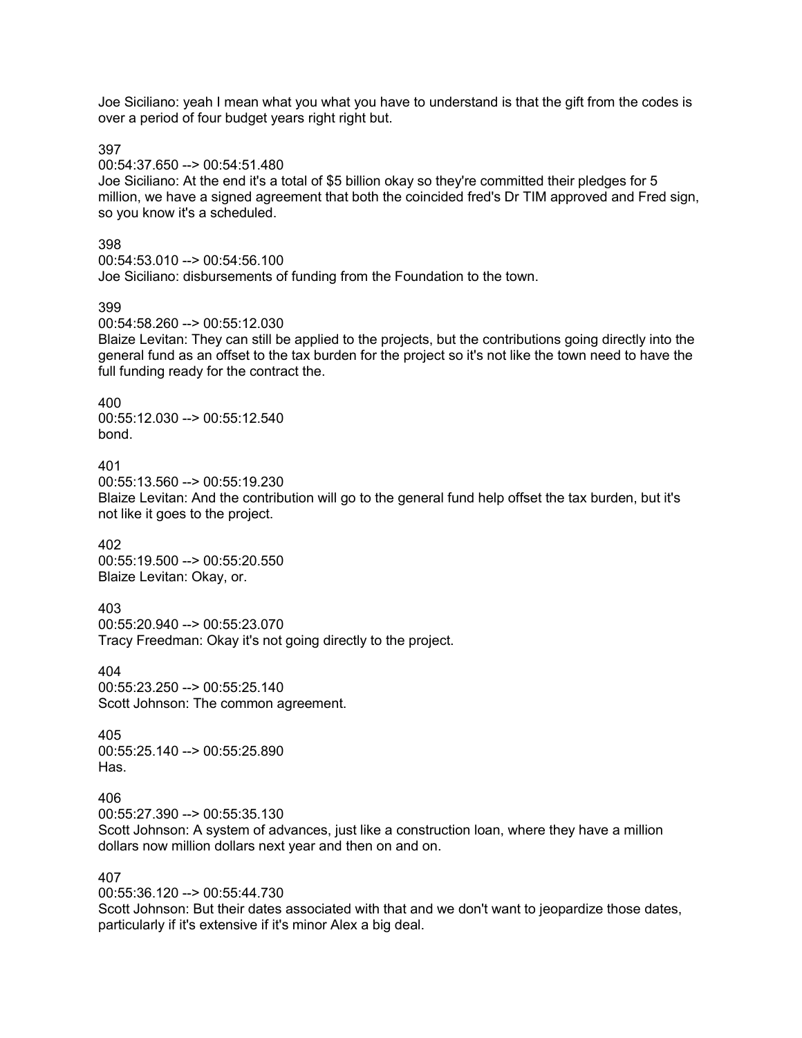Joe Siciliano: yeah I mean what you what you have to understand is that the gift from the codes is over a period of four budget years right right but.

397

00:54:37.650 --> 00:54:51.480

Joe Siciliano: At the end it's a total of \$5 billion okay so they're committed their pledges for 5 million, we have a signed agreement that both the coincided fred's Dr TIM approved and Fred sign, so you know it's a scheduled.

398

00:54:53.010 --> 00:54:56.100

Joe Siciliano: disbursements of funding from the Foundation to the town.

399

00:54:58.260 --> 00:55:12.030

Blaize Levitan: They can still be applied to the projects, but the contributions going directly into the general fund as an offset to the tax burden for the project so it's not like the town need to have the full funding ready for the contract the.

400

00:55:12.030 --> 00:55:12.540 bond.

401

00:55:13.560 --> 00:55:19.230 Blaize Levitan: And the contribution will go to the general fund help offset the tax burden, but it's not like it goes to the project.

402 00:55:19.500 --> 00:55:20.550 Blaize Levitan: Okay, or.

403 00:55:20.940 --> 00:55:23.070 Tracy Freedman: Okay it's not going directly to the project.

404 00:55:23.250 --> 00:55:25.140 Scott Johnson: The common agreement.

405 00:55:25.140 --> 00:55:25.890 Has.

406

00:55:27.390 --> 00:55:35.130

Scott Johnson: A system of advances, just like a construction loan, where they have a million dollars now million dollars next year and then on and on.

407

00:55:36.120 --> 00:55:44.730 Scott Johnson: But their dates associated with that and we don't want to jeopardize those dates, particularly if it's extensive if it's minor Alex a big deal.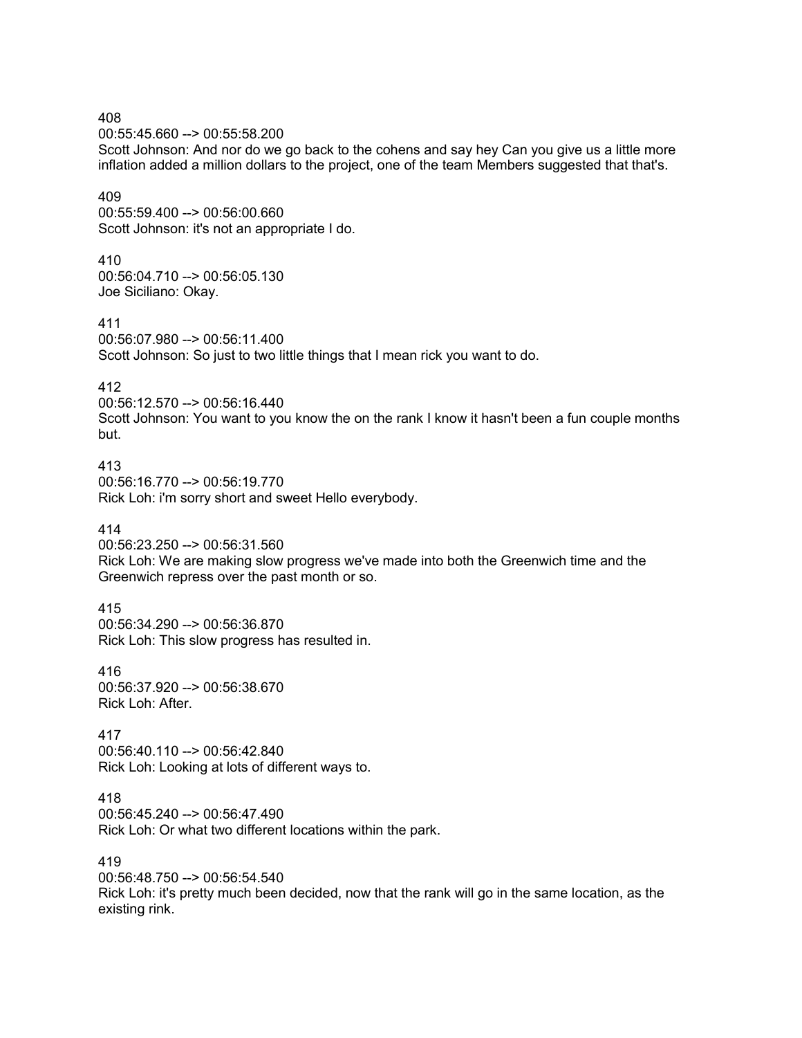00:55:45.660 --> 00:55:58.200 Scott Johnson: And nor do we go back to the cohens and say hey Can you give us a little more inflation added a million dollars to the project, one of the team Members suggested that that's. 409 00:55:59.400 --> 00:56:00.660 Scott Johnson: it's not an appropriate I do. 410 00:56:04.710 --> 00:56:05.130 Joe Siciliano: Okay. 411 00:56:07.980 --> 00:56:11.400 Scott Johnson: So just to two little things that I mean rick you want to do. 412 00:56:12.570 --> 00:56:16.440 Scott Johnson: You want to you know the on the rank I know it hasn't been a fun couple months but. 413 00:56:16.770 --> 00:56:19.770 Rick Loh: i'm sorry short and sweet Hello everybody. 414 00:56:23.250 --> 00:56:31.560 Rick Loh: We are making slow progress we've made into both the Greenwich time and the Greenwich repress over the past month or so. 415

00:56:34.290 --> 00:56:36.870 Rick Loh: This slow progress has resulted in.

416 00:56:37.920 --> 00:56:38.670 Rick Loh: After.

408

417 00:56:40.110 --> 00:56:42.840 Rick Loh: Looking at lots of different ways to.

418 00:56:45.240 --> 00:56:47.490 Rick Loh: Or what two different locations within the park.

419 00:56:48.750 --> 00:56:54.540 Rick Loh: it's pretty much been decided, now that the rank will go in the same location, as the existing rink.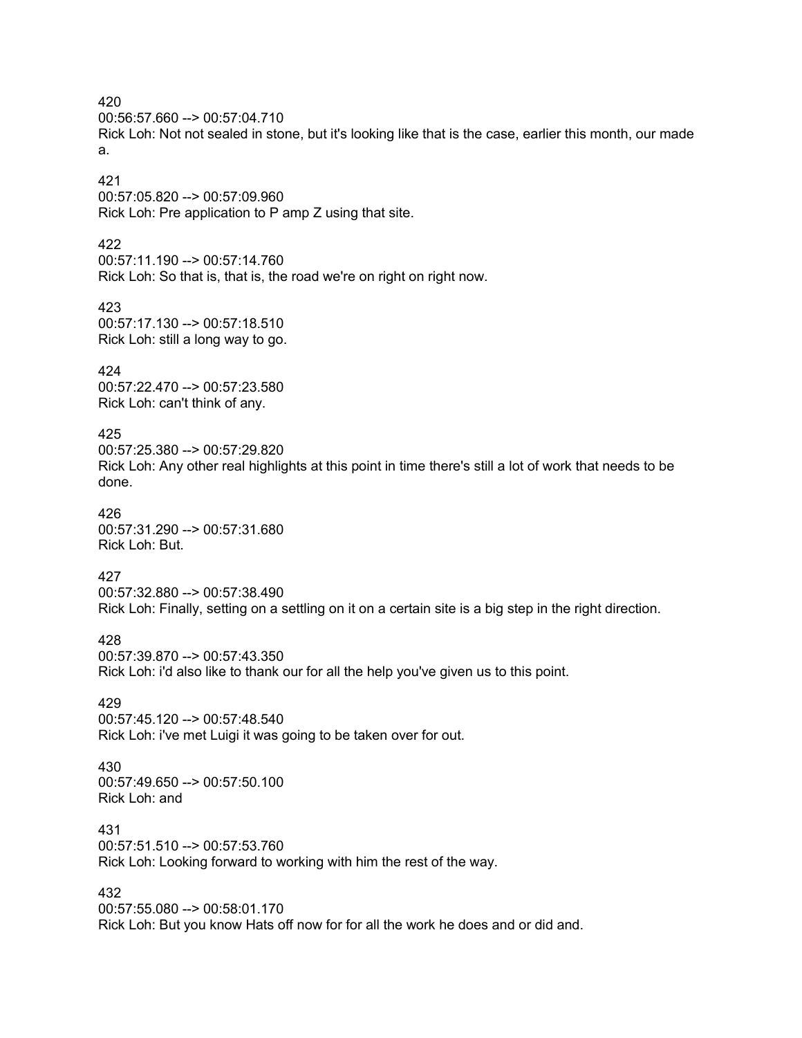00:56:57.660 --> 00:57:04.710

Rick Loh: Not not sealed in stone, but it's looking like that is the case, earlier this month, our made a.

# 421

00:57:05.820 --> 00:57:09.960 Rick Loh: Pre application to P amp Z using that site.

# 422

00:57:11.190 --> 00:57:14.760 Rick Loh: So that is, that is, the road we're on right on right now.

# 423

00:57:17.130 --> 00:57:18.510 Rick Loh: still a long way to go.

# 424

00:57:22.470 --> 00:57:23.580 Rick Loh: can't think of any.

# 425

00:57:25.380 --> 00:57:29.820 Rick Loh: Any other real highlights at this point in time there's still a lot of work that needs to be done.

# 426

00:57:31.290 --> 00:57:31.680 Rick Loh: But.

# 427

00:57:32.880 --> 00:57:38.490 Rick Loh: Finally, setting on a settling on it on a certain site is a big step in the right direction.

# 428

00:57:39.870 --> 00:57:43.350 Rick Loh: i'd also like to thank our for all the help you've given us to this point.

# 429

00:57:45.120 --> 00:57:48.540 Rick Loh: i've met Luigi it was going to be taken over for out.

# 430

00:57:49.650 --> 00:57:50.100 Rick Loh: and

### 431

00:57:51.510 --> 00:57:53.760 Rick Loh: Looking forward to working with him the rest of the way.

# 432

00:57:55.080 --> 00:58:01.170 Rick Loh: But you know Hats off now for for all the work he does and or did and.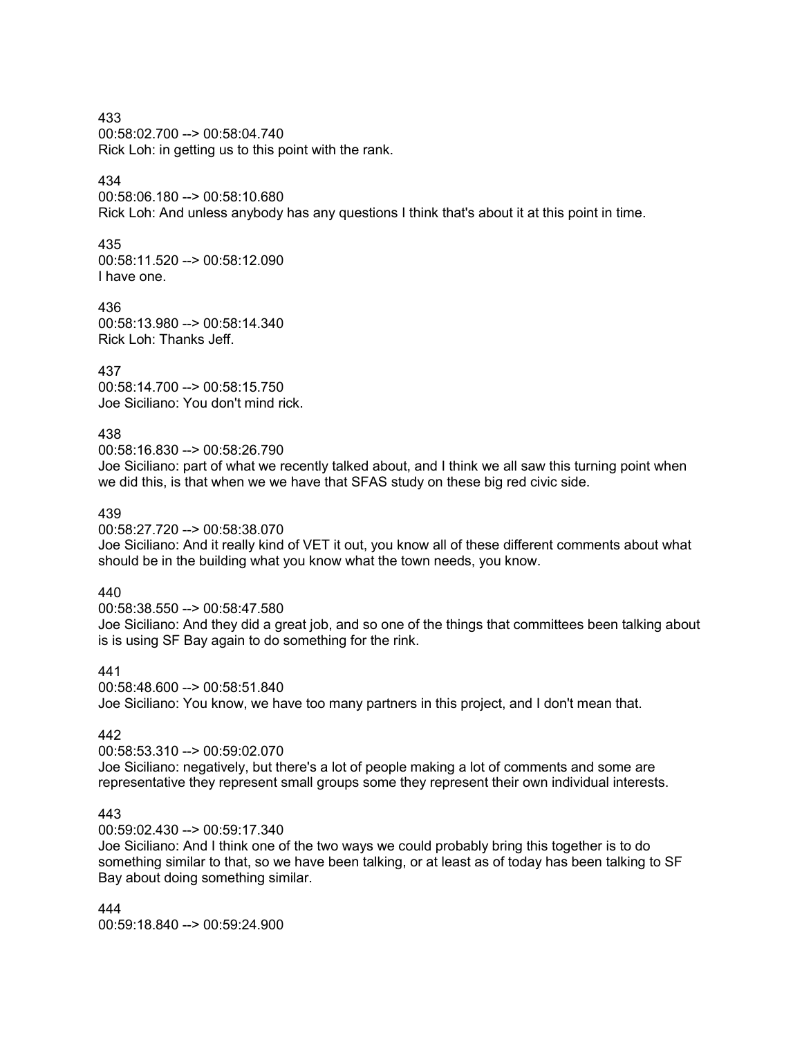433 00:58:02.700 --> 00:58:04.740 Rick Loh: in getting us to this point with the rank.

# 434

00:58:06.180 --> 00:58:10.680 Rick Loh: And unless anybody has any questions I think that's about it at this point in time.

### 435

00:58:11.520 --> 00:58:12.090 I have one.

#### 436

00:58:13.980 --> 00:58:14.340 Rick Loh: Thanks Jeff.

437

00:58:14.700 --> 00:58:15.750 Joe Siciliano: You don't mind rick.

### 438

00:58:16.830 --> 00:58:26.790

Joe Siciliano: part of what we recently talked about, and I think we all saw this turning point when we did this, is that when we we have that SFAS study on these big red civic side.

### 439

00:58:27.720 --> 00:58:38.070

Joe Siciliano: And it really kind of VET it out, you know all of these different comments about what should be in the building what you know what the town needs, you know.

#### 440

00:58:38.550 --> 00:58:47.580 Joe Siciliano: And they did a great job, and so one of the things that committees been talking about is is using SF Bay again to do something for the rink.

# 441

00:58:48.600 --> 00:58:51.840 Joe Siciliano: You know, we have too many partners in this project, and I don't mean that.

# 442

00:58:53.310 --> 00:59:02.070 Joe Siciliano: negatively, but there's a lot of people making a lot of comments and some are representative they represent small groups some they represent their own individual interests.

### 443

00:59:02.430 --> 00:59:17.340

Joe Siciliano: And I think one of the two ways we could probably bring this together is to do something similar to that, so we have been talking, or at least as of today has been talking to SF Bay about doing something similar.

444 00:59:18.840 --> 00:59:24.900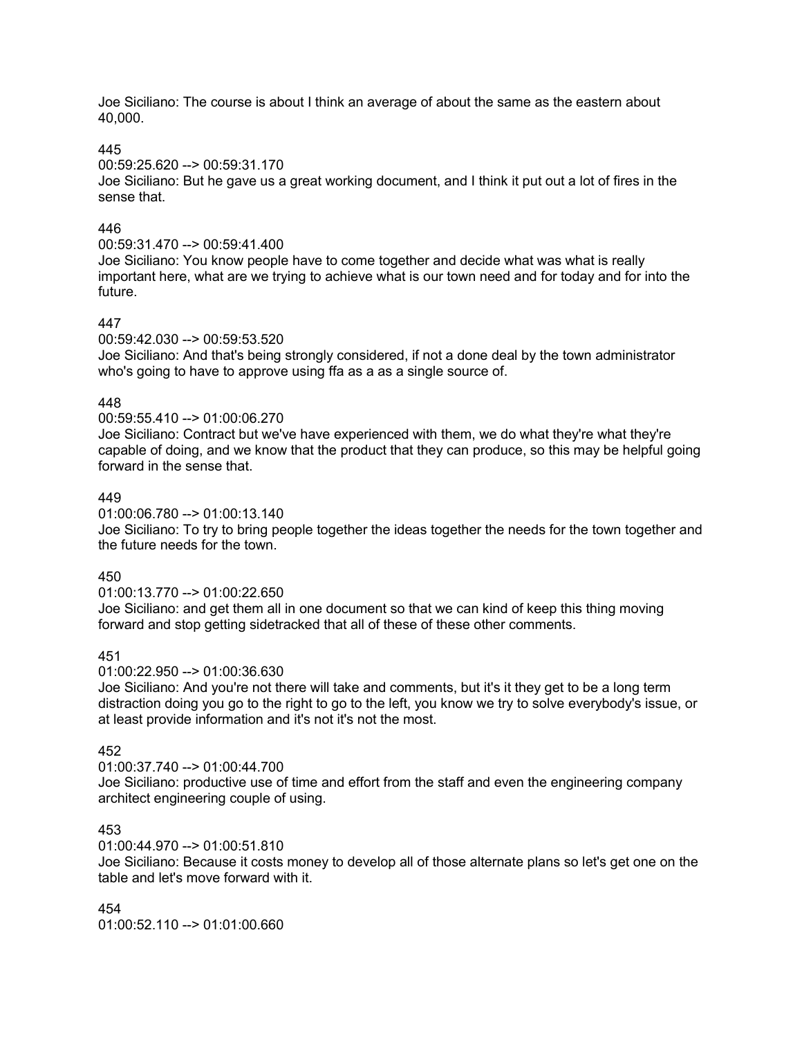Joe Siciliano: The course is about I think an average of about the same as the eastern about 40,000.

### 445

### 00:59:25.620 --> 00:59:31.170

Joe Siciliano: But he gave us a great working document, and I think it put out a lot of fires in the sense that.

# 446

### 00:59:31.470 --> 00:59:41.400

Joe Siciliano: You know people have to come together and decide what was what is really important here, what are we trying to achieve what is our town need and for today and for into the future.

# 447

### 00:59:42.030 --> 00:59:53.520

Joe Siciliano: And that's being strongly considered, if not a done deal by the town administrator who's going to have to approve using ffa as a as a single source of.

# 448

# 00:59:55.410 --> 01:00:06.270

Joe Siciliano: Contract but we've have experienced with them, we do what they're what they're capable of doing, and we know that the product that they can produce, so this may be helpful going forward in the sense that.

# 449

### 01:00:06.780 --> 01:00:13.140

Joe Siciliano: To try to bring people together the ideas together the needs for the town together and the future needs for the town.

# 450

01:00:13.770 --> 01:00:22.650

Joe Siciliano: and get them all in one document so that we can kind of keep this thing moving forward and stop getting sidetracked that all of these of these other comments.

# 451

#### 01:00:22.950 --> 01:00:36.630

Joe Siciliano: And you're not there will take and comments, but it's it they get to be a long term distraction doing you go to the right to go to the left, you know we try to solve everybody's issue, or at least provide information and it's not it's not the most.

# 452

### 01:00:37.740 --> 01:00:44.700

Joe Siciliano: productive use of time and effort from the staff and even the engineering company architect engineering couple of using.

# 453

### 01:00:44.970 --> 01:00:51.810

Joe Siciliano: Because it costs money to develop all of those alternate plans so let's get one on the table and let's move forward with it.

454 01:00:52.110 --> 01:01:00.660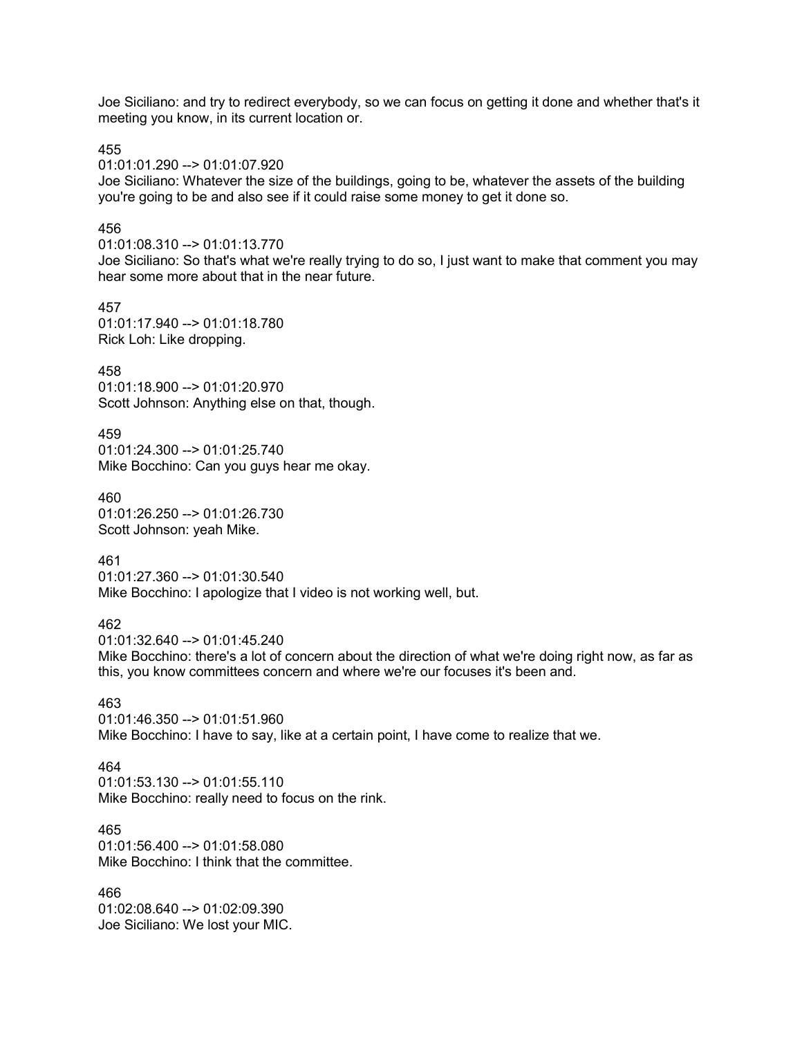Joe Siciliano: and try to redirect everybody, so we can focus on getting it done and whether that's it meeting you know, in its current location or.

455

01:01:01.290 --> 01:01:07.920

Joe Siciliano: Whatever the size of the buildings, going to be, whatever the assets of the building you're going to be and also see if it could raise some money to get it done so.

#### 456

### 01:01:08.310 --> 01:01:13.770

Joe Siciliano: So that's what we're really trying to do so, I just want to make that comment you may hear some more about that in the near future.

457

01:01:17.940 --> 01:01:18.780 Rick Loh: Like dropping.

### 458

01:01:18.900 --> 01:01:20.970 Scott Johnson: Anything else on that, though.

### 459

01:01:24.300 --> 01:01:25.740 Mike Bocchino: Can you guys hear me okay.

460

01:01:26.250 --> 01:01:26.730 Scott Johnson: yeah Mike.

461

01:01:27.360 --> 01:01:30.540 Mike Bocchino: I apologize that I video is not working well, but.

### 462

01:01:32.640 --> 01:01:45.240

Mike Bocchino: there's a lot of concern about the direction of what we're doing right now, as far as this, you know committees concern and where we're our focuses it's been and.

#### 463

01:01:46.350 --> 01:01:51.960 Mike Bocchino: I have to say, like at a certain point, I have come to realize that we.

#### 464

 $01:01:53.130 \rightarrow 01:01:55.110$ Mike Bocchino: really need to focus on the rink.

### 465

01:01:56.400 --> 01:01:58.080 Mike Bocchino: I think that the committee.

466 01:02:08.640 --> 01:02:09.390 Joe Siciliano: We lost your MIC.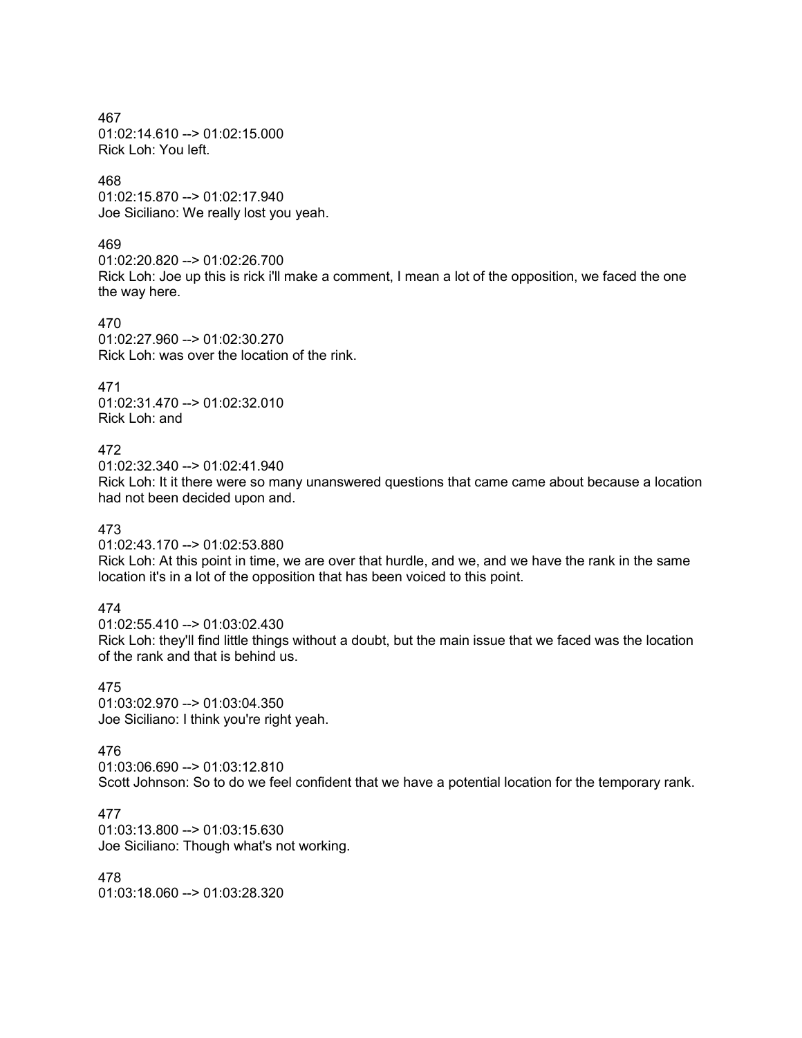467 01:02:14.610 --> 01:02:15.000 Rick Loh: You left.

# 468

01:02:15.870 --> 01:02:17.940 Joe Siciliano: We really lost you yeah.

### 469

01:02:20.820 --> 01:02:26.700 Rick Loh: Joe up this is rick i'll make a comment, I mean a lot of the opposition, we faced the one the way here.

470 01:02:27.960 --> 01:02:30.270 Rick Loh: was over the location of the rink.

471 01:02:31.470 --> 01:02:32.010 Rick Loh: and

# 472

01:02:32.340 --> 01:02:41.940

Rick Loh: It it there were so many unanswered questions that came came about because a location had not been decided upon and.

# 473

01:02:43.170 --> 01:02:53.880 Rick Loh: At this point in time, we are over that hurdle, and we, and we have the rank in the same location it's in a lot of the opposition that has been voiced to this point.

# 474

01:02:55.410 --> 01:03:02.430 Rick Loh: they'll find little things without a doubt, but the main issue that we faced was the location of the rank and that is behind us.

475 01:03:02.970 --> 01:03:04.350 Joe Siciliano: I think you're right yeah.

# 476

01:03:06.690 --> 01:03:12.810 Scott Johnson: So to do we feel confident that we have a potential location for the temporary rank.

477 01:03:13.800 --> 01:03:15.630 Joe Siciliano: Though what's not working.

# 478

01:03:18.060 --> 01:03:28.320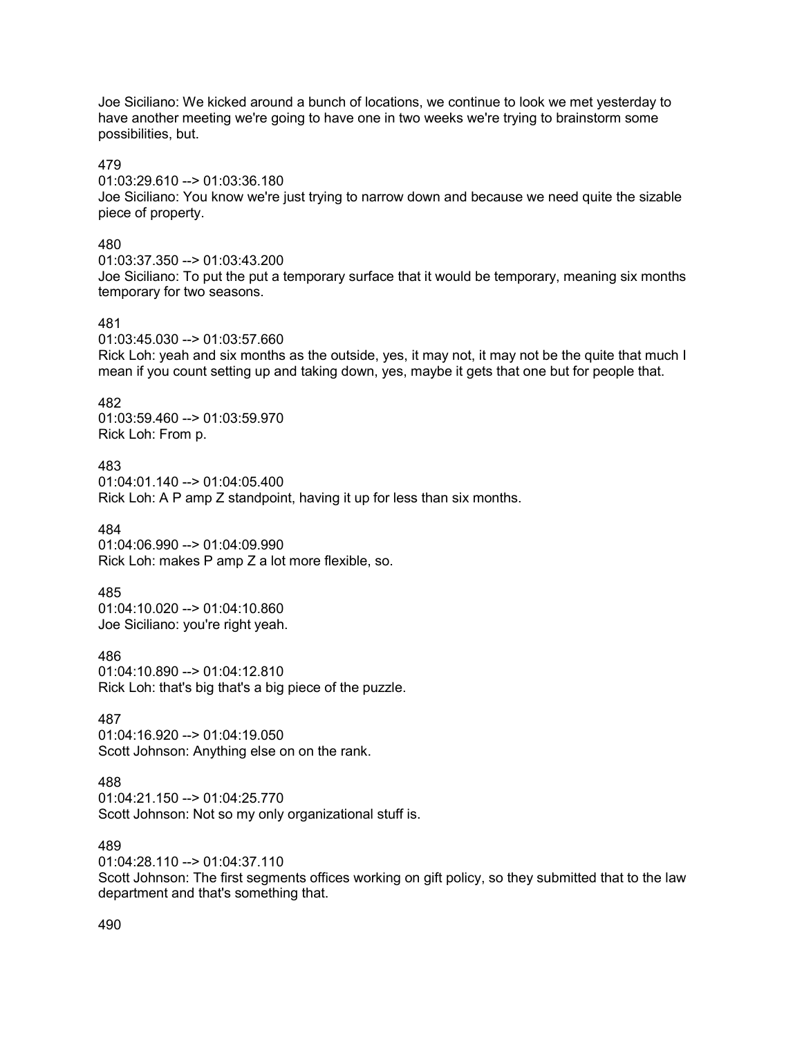Joe Siciliano: We kicked around a bunch of locations, we continue to look we met yesterday to have another meeting we're going to have one in two weeks we're trying to brainstorm some possibilities, but.

### 479

01:03:29.610 --> 01:03:36.180

Joe Siciliano: You know we're just trying to narrow down and because we need quite the sizable piece of property.

### 480

01:03:37.350 --> 01:03:43.200 Joe Siciliano: To put the put a temporary surface that it would be temporary, meaning six months temporary for two seasons.

### 481

01:03:45.030 --> 01:03:57.660

Rick Loh: yeah and six months as the outside, yes, it may not, it may not be the quite that much I mean if you count setting up and taking down, yes, maybe it gets that one but for people that.

#### 482

01:03:59.460 --> 01:03:59.970 Rick Loh: From p.

#### 483

01:04:01.140 --> 01:04:05.400 Rick Loh: A P amp Z standpoint, having it up for less than six months.

#### 484

01:04:06.990 --> 01:04:09.990 Rick Loh: makes P amp Z a lot more flexible, so.

#### 485

01:04:10.020 --> 01:04:10.860 Joe Siciliano: you're right yeah.

486 01:04:10.890 --> 01:04:12.810 Rick Loh: that's big that's a big piece of the puzzle.

#### 487

01:04:16.920 --> 01:04:19.050 Scott Johnson: Anything else on on the rank.

# 488

01:04:21.150 --> 01:04:25.770 Scott Johnson: Not so my only organizational stuff is.

# 489

01:04:28.110 --> 01:04:37.110 Scott Johnson: The first segments offices working on gift policy, so they submitted that to the law department and that's something that.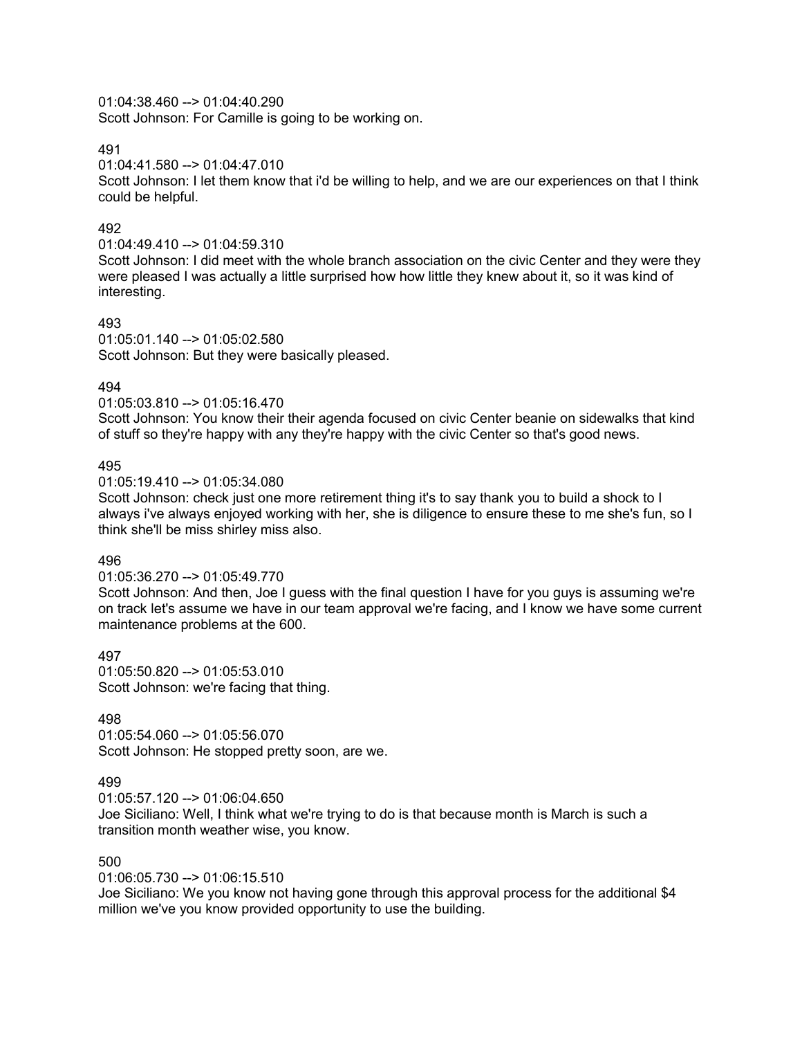01:04:38.460 --> 01:04:40.290

Scott Johnson: For Camille is going to be working on.

491

01:04:41.580 --> 01:04:47.010

Scott Johnson: I let them know that i'd be willing to help, and we are our experiences on that I think could be helpful.

# 492

01:04:49.410 --> 01:04:59.310

Scott Johnson: I did meet with the whole branch association on the civic Center and they were they were pleased I was actually a little surprised how how little they knew about it, so it was kind of interesting.

# 493

01:05:01.140 --> 01:05:02.580 Scott Johnson: But they were basically pleased.

# 494

01:05:03.810 --> 01:05:16.470

Scott Johnson: You know their their agenda focused on civic Center beanie on sidewalks that kind of stuff so they're happy with any they're happy with the civic Center so that's good news.

# 495

01:05:19.410 --> 01:05:34.080

Scott Johnson: check just one more retirement thing it's to say thank you to build a shock to I always i've always enjoyed working with her, she is diligence to ensure these to me she's fun, so I think she'll be miss shirley miss also.

# 496

01:05:36.270 --> 01:05:49.770

Scott Johnson: And then, Joe I guess with the final question I have for you guys is assuming we're on track let's assume we have in our team approval we're facing, and I know we have some current maintenance problems at the 600.

497 01:05:50.820 --> 01:05:53.010 Scott Johnson: we're facing that thing.

# 498

01:05:54.060 --> 01:05:56.070 Scott Johnson: He stopped pretty soon, are we.

# 499

01:05:57.120 --> 01:06:04.650 Joe Siciliano: Well, I think what we're trying to do is that because month is March is such a transition month weather wise, you know.

# 500

01:06:05.730 --> 01:06:15.510

Joe Siciliano: We you know not having gone through this approval process for the additional \$4 million we've you know provided opportunity to use the building.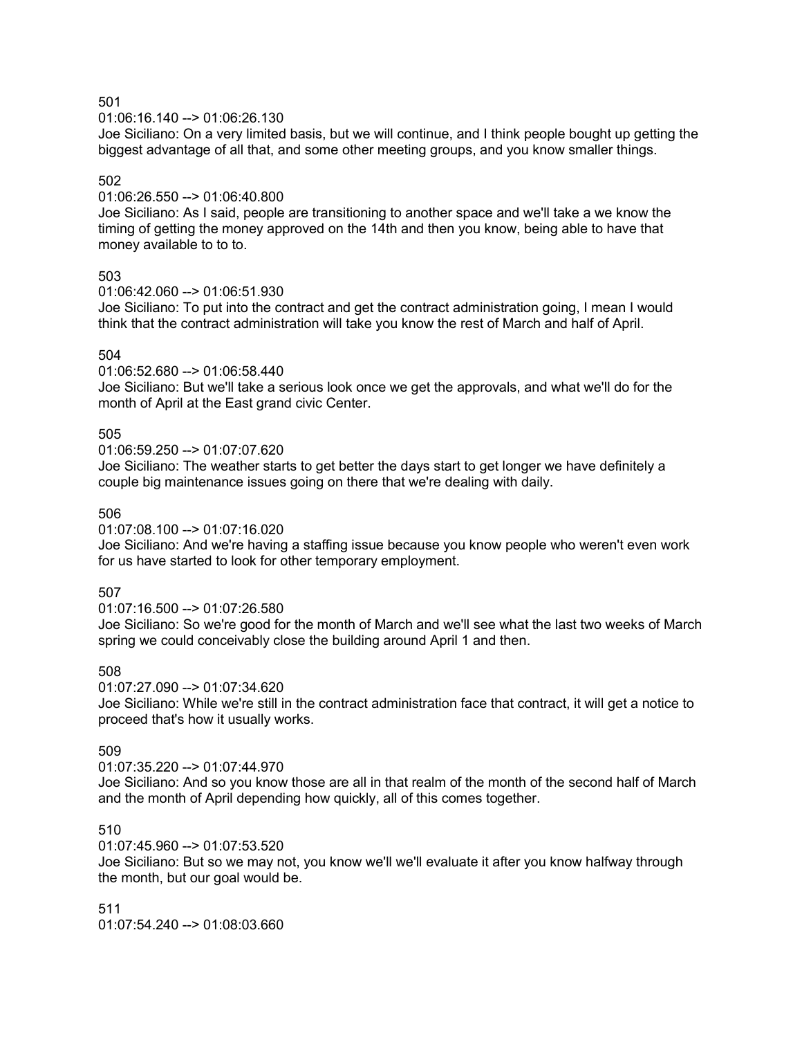#### 01:06:16.140 --> 01:06:26.130

Joe Siciliano: On a very limited basis, but we will continue, and I think people bought up getting the biggest advantage of all that, and some other meeting groups, and you know smaller things.

### 502

### 01:06:26.550 --> 01:06:40.800

Joe Siciliano: As I said, people are transitioning to another space and we'll take a we know the timing of getting the money approved on the 14th and then you know, being able to have that money available to to to.

#### 503

01:06:42.060 --> 01:06:51.930

Joe Siciliano: To put into the contract and get the contract administration going, I mean I would think that the contract administration will take you know the rest of March and half of April.

### 504

 $01:06:52.680 - \geq 01:06:58.440$ 

Joe Siciliano: But we'll take a serious look once we get the approvals, and what we'll do for the month of April at the East grand civic Center.

### 505

01:06:59.250 --> 01:07:07.620

Joe Siciliano: The weather starts to get better the days start to get longer we have definitely a couple big maintenance issues going on there that we're dealing with daily.

### 506

#### 01:07:08.100 --> 01:07:16.020

Joe Siciliano: And we're having a staffing issue because you know people who weren't even work for us have started to look for other temporary employment.

#### 507

#### 01:07:16.500 --> 01:07:26.580

Joe Siciliano: So we're good for the month of March and we'll see what the last two weeks of March spring we could conceivably close the building around April 1 and then.

### 508

01:07:27.090 --> 01:07:34.620

Joe Siciliano: While we're still in the contract administration face that contract, it will get a notice to proceed that's how it usually works.

#### 509

### 01:07:35.220 --> 01:07:44.970

Joe Siciliano: And so you know those are all in that realm of the month of the second half of March and the month of April depending how quickly, all of this comes together.

### 510

### 01:07:45.960 --> 01:07:53.520

Joe Siciliano: But so we may not, you know we'll we'll evaluate it after you know halfway through the month, but our goal would be.

511 01:07:54.240 --> 01:08:03.660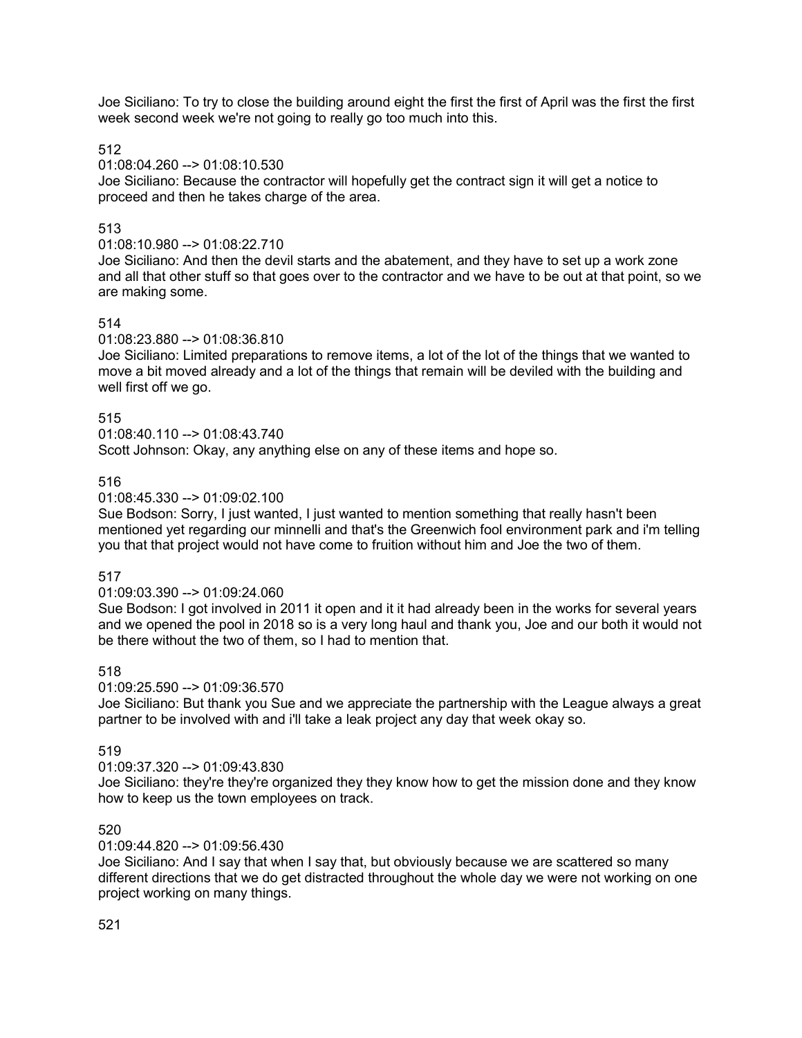Joe Siciliano: To try to close the building around eight the first the first of April was the first the first week second week we're not going to really go too much into this.

512

### 01:08:04.260 --> 01:08:10.530

Joe Siciliano: Because the contractor will hopefully get the contract sign it will get a notice to proceed and then he takes charge of the area.

# 513

### 01:08:10.980 --> 01:08:22.710

Joe Siciliano: And then the devil starts and the abatement, and they have to set up a work zone and all that other stuff so that goes over to the contractor and we have to be out at that point, so we are making some.

# 514

### 01:08:23.880 --> 01:08:36.810

Joe Siciliano: Limited preparations to remove items, a lot of the lot of the things that we wanted to move a bit moved already and a lot of the things that remain will be deviled with the building and well first off we go.

### 515

### 01:08:40.110 --> 01:08:43.740

Scott Johnson: Okay, any anything else on any of these items and hope so.

### 516

### 01:08:45.330 --> 01:09:02.100

Sue Bodson: Sorry, I just wanted, I just wanted to mention something that really hasn't been mentioned yet regarding our minnelli and that's the Greenwich fool environment park and i'm telling you that that project would not have come to fruition without him and Joe the two of them.

# 517

# 01:09:03.390 --> 01:09:24.060

Sue Bodson: I got involved in 2011 it open and it it had already been in the works for several years and we opened the pool in 2018 so is a very long haul and thank you, Joe and our both it would not be there without the two of them, so I had to mention that.

# 518

#### 01:09:25.590 --> 01:09:36.570

Joe Siciliano: But thank you Sue and we appreciate the partnership with the League always a great partner to be involved with and i'll take a leak project any day that week okay so.

# 519

# 01:09:37.320 --> 01:09:43.830

Joe Siciliano: they're they're organized they they know how to get the mission done and they know how to keep us the town employees on track.

# 520

# 01:09:44.820 --> 01:09:56.430

Joe Siciliano: And I say that when I say that, but obviously because we are scattered so many different directions that we do get distracted throughout the whole day we were not working on one project working on many things.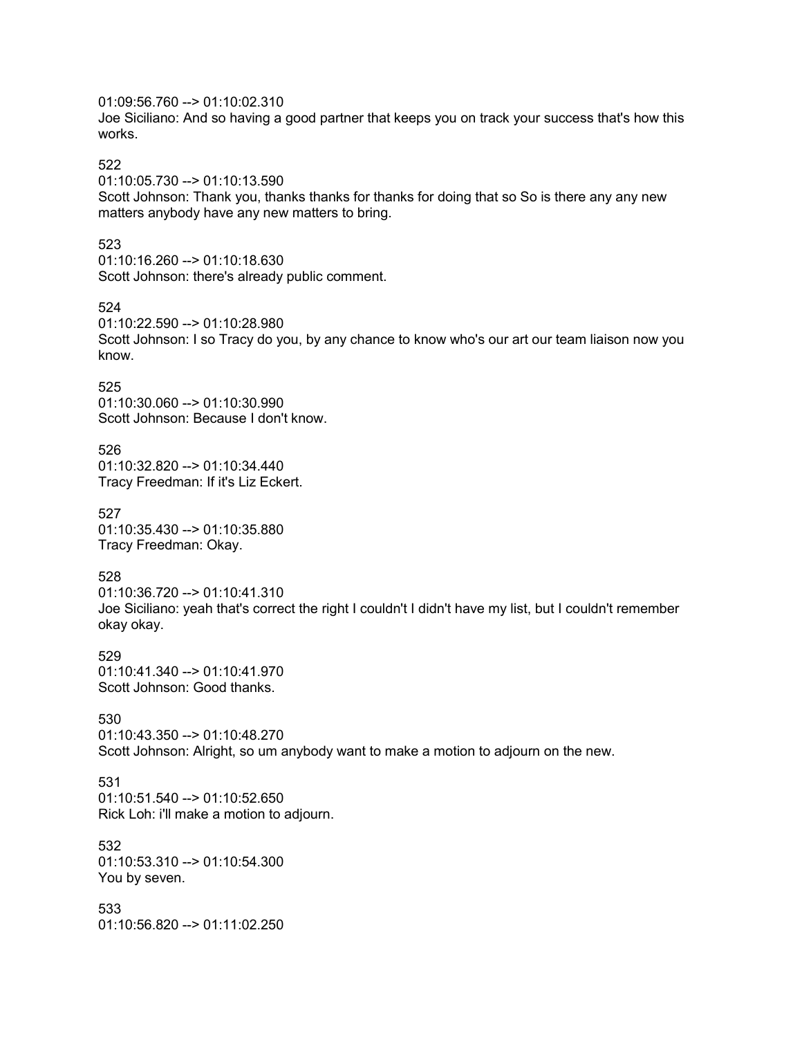# 01:09:56.760 --> 01:10:02.310

Joe Siciliano: And so having a good partner that keeps you on track your success that's how this works.

### 522

01:10:05.730 --> 01:10:13.590

Scott Johnson: Thank you, thanks thanks for thanks for doing that so So is there any any new matters anybody have any new matters to bring.

#### 523

01:10:16.260 --> 01:10:18.630 Scott Johnson: there's already public comment.

#### 524

01:10:22.590 --> 01:10:28.980 Scott Johnson: I so Tracy do you, by any chance to know who's our art our team liaison now you know.

### 525

01:10:30.060 --> 01:10:30.990 Scott Johnson: Because I don't know.

526 01:10:32.820 --> 01:10:34.440 Tracy Freedman: If it's Liz Eckert.

527 01:10:35.430 --> 01:10:35.880 Tracy Freedman: Okay.

### 528

01:10:36.720 --> 01:10:41.310 Joe Siciliano: yeah that's correct the right I couldn't I didn't have my list, but I couldn't remember okay okay.

529 01:10:41.340 --> 01:10:41.970 Scott Johnson: Good thanks.

530 01:10:43.350 --> 01:10:48.270 Scott Johnson: Alright, so um anybody want to make a motion to adjourn on the new.

# 531

01:10:51.540 --> 01:10:52.650 Rick Loh: i'll make a motion to adjourn.

# 532

01:10:53.310 --> 01:10:54.300 You by seven.

533 01:10:56.820 --> 01:11:02.250